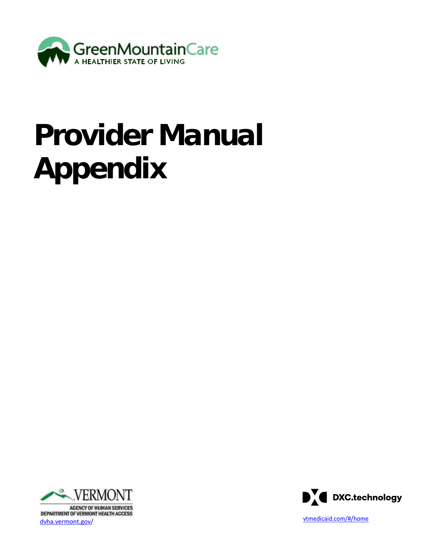

# **Provider Manual Appendix**



**AGENCY OF HUMAN SERVICES** ver die verwondeling van die verwondeling van die verwondeling van die verwondeling van die verwondeling van die verwondeling van die verwondeling van die verwondeling van die verwondeling van die verwondeling van die verw

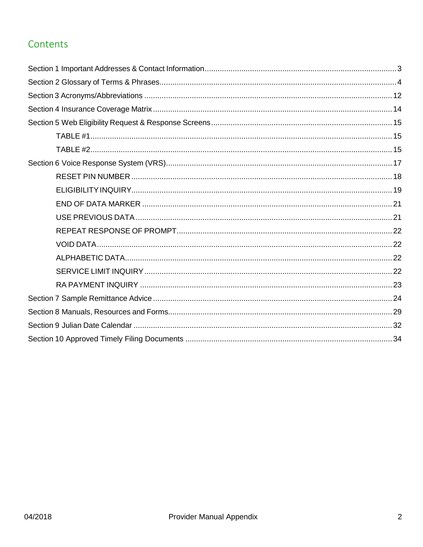### Contents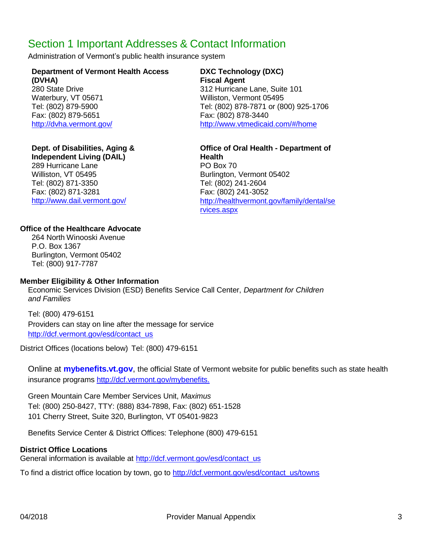### <span id="page-2-0"></span>Section 1 Important Addresses & Contact Information

Administration of Vermont's public health insurance system

#### **Department of Vermont Health Access (DVHA)**

Fax: (802) 879-5651 Fax: (802) 878-3440

#### **Dept. of Disabilities, Aging &**

**Independent Living (DAIL)** 289 Hurricane Lane **PO** Box 70 Williston, VT 05495 Burlington, Vermont 05402 Tel: (802) 871-3350 Tel: (802) 241-2604 Fax: (802) 871-3281 Fax: (802) 241-3052

#### **DXC Technology (DXC) Fiscal Agent**

280 State Drive 312 Hurricane Lane, Suite 101 Waterbury, VT 05671 Williston, Vermont 05495 Tel: (802) 879-5900 Tel: (802) 878-7871 or (800) 925-1706 <http://dvha.vermont.gov/> [http://www.vtmedicaid.com/#](http://www.vtmedicaid.com/)/home

**Office of Oral Health - Department of Health** <http://www.dail.vermont.gov/> [http://healthvermont.gov/family/dental/se](http://healthvermont.gov/family/dental/services.aspx) [rvices.aspx](http://healthvermont.gov/family/dental/services.aspx)

#### **Office of the Healthcare Advocate**

264 North Winooski Avenue P.O. Box 1367 Burlington, Vermont 05402 Tel: (800) 917-7787

#### **Member Eligibility & Other Information**

Economic Services Division (ESD) Benefits Service Call Center, *Department for Children and Families*

Tel: (800) 479-6151 Providers can stay on line after the message for service [http://dcf.vermont.gov/esd/contact\\_us](http://dcf.vermont.gov/esd/contact_us)

District Offices (locations below) Tel: (800) 479-6151

Online at **mybenefits.vt.gov**, the official State of Vermont website for public benefits such as state health insurance programs [http://dcf.vermont.gov/mybenefits.](http://dcf.vermont.gov/mybenefits)

Green Mountain Care Member Services Unit, *Maximus* Tel: (800) 250-8427, TTY: (888) 834-7898, Fax: (802) 651-1528 101 Cherry Street, Suite 320, Burlington, VT 05401-9823

Benefits Service Center & District Offices: Telephone (800) 479-6151

#### **District Office Locations**

General information is available at [http://dcf.vermont.gov/esd/contact\\_us](http://dcf.vermont.gov/esd/contact_us)

To find a district office location by town, go to [http://dcf.vermont.gov/esd/contact\\_us/towns](http://dcf.vermont.gov/esd/contact_us/towns)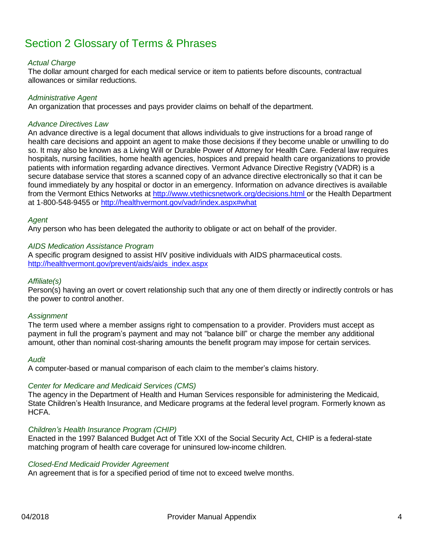# <span id="page-3-0"></span>Section 2 Glossary of Terms & Phrases

#### *Actual Charge*

The dollar amount charged for each medical service or item to patients before discounts, contractual allowances or similar reductions.

#### *Administrative Agent*

An organization that processes and pays provider claims on behalf of the department.

#### *Advance Directives Law*

An advance directive is a legal document that allows individuals to give instructions for a broad range of health care decisions and appoint an agent to make those decisions if they become unable or unwilling to do so. It may also be known as a Living Will or Durable Power of Attorney for Health Care. Federal law requires hospitals, nursing facilities, home health agencies, hospices and prepaid health care organizations to provide patients with information regarding advance directives. Vermont Advance Directive Registry (VADR) is a secure database service that stores a scanned copy of an advance directive electronically so that it can be found immediately by any hospital or doctor in an emergency. Information on advance directives is available from the Vermont Ethics Networks at <http://www.vtethicsnetwork.org/decisions.html> or the Health Department at 1-800-548-9455 or <http://healthvermont.gov/vadr/index.aspx#what>

#### *Agent*

Any person who has been delegated the authority to obligate or act on behalf of the provider.

#### *AIDS Medication Assistance Program*

A specific program designed to assist HIV positive individuals with AIDS pharmaceutical costs. [http://healthvermont.gov/prevent/aids/aids\\_index.aspx](http://healthvermont.gov/prevent/aids/aids_index.aspx)

#### *Affiliate(s)*

Person(s) having an overt or covert relationship such that any one of them directly or indirectly controls or has the power to control another.

#### *Assignment*

The term used where a member assigns right to compensation to a provider. Providers must accept as payment in full the program's payment and may not "balance bill" or charge the member any additional amount, other than nominal cost-sharing amounts the benefit program may impose for certain services.

#### *Audit*

A computer-based or manual comparison of each claim to the member's claims history.

#### *Center for Medicare and Medicaid Services (CMS)*

The agency in the Department of Health and Human Services responsible for administering the Medicaid, State Children's Health Insurance, and Medicare programs at the federal level program. Formerly known as HCFA.

#### *Children's Health Insurance Program (CHIP)*

Enacted in the 1997 Balanced Budget Act of Title XXI of the Social Security Act, CHIP is a federal-state matching program of health care coverage for uninsured low-income children.

#### *Closed-End Medicaid Provider Agreement*

An agreement that is for a specified period of time not to exceed twelve months.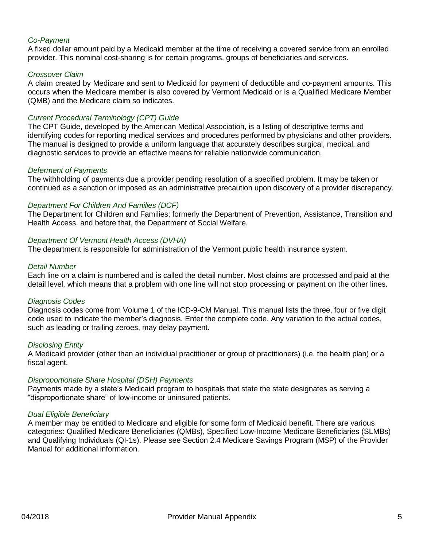#### *Co-Payment*

A fixed dollar amount paid by a Medicaid member at the time of receiving a covered service from an enrolled provider. This nominal cost-sharing is for certain programs, groups of beneficiaries and services.

#### *Crossover Claim*

A claim created by Medicare and sent to Medicaid for payment of deductible and co-payment amounts. This occurs when the Medicare member is also covered by Vermont Medicaid or is a Qualified Medicare Member (QMB) and the Medicare claim so indicates.

#### *Current Procedural Terminology (CPT) Guide*

The CPT Guide, developed by the American Medical Association, is a listing of descriptive terms and identifying codes for reporting medical services and procedures performed by physicians and other providers. The manual is designed to provide a uniform language that accurately describes surgical, medical, and diagnostic services to provide an effective means for reliable nationwide communication.

#### *Deferment of Payments*

The withholding of payments due a provider pending resolution of a specified problem. It may be taken or continued as a sanction or imposed as an administrative precaution upon discovery of a provider discrepancy.

#### *Department For Children And Families (DCF)*

The Department for Children and Families; formerly the Department of Prevention, Assistance, Transition and Health Access, and before that, the Department of Social Welfare.

#### *Department Of Vermont Health Access (DVHA)*

The department is responsible for administration of the Vermont public health insurance system.

#### *Detail Number*

Each line on a claim is numbered and is called the detail number. Most claims are processed and paid at the detail level, which means that a problem with one line will not stop processing or payment on the other lines.

#### *Diagnosis Codes*

Diagnosis codes come from Volume 1 of the ICD-9-CM Manual. This manual lists the three, four or five digit code used to indicate the member's diagnosis. Enter the complete code. Any variation to the actual codes, such as leading or trailing zeroes, may delay payment.

#### *Disclosing Entity*

A Medicaid provider (other than an individual practitioner or group of practitioners) (i.e. the health plan) or a fiscal agent.

#### *Disproportionate Share Hospital (DSH) Payments*

Payments made by a state's Medicaid program to hospitals that state the state designates as serving a "disproportionate share" of low-income or uninsured patients.

#### *Dual Eligible Beneficiary*

A member may be entitled to Medicare and eligible for some form of Medicaid benefit. There are various categories: Qualified Medicare Beneficiaries (QMBs), Specified Low-Income Medicare Beneficiaries (SLMBs) and Qualifying Individuals (QI-1s). Please see Section 2.4 Medicare Savings Program (MSP) of the Provider Manual for additional information.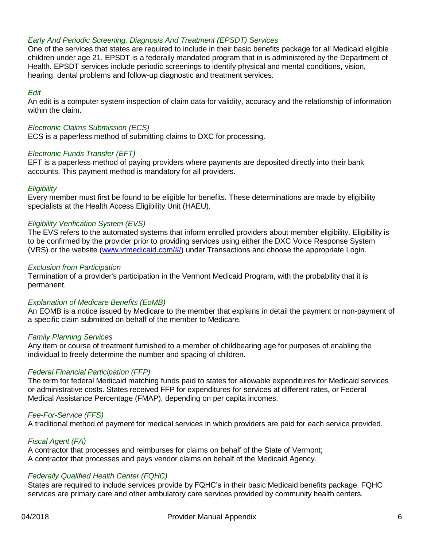#### *Early And Periodic Screening, Diagnosis And Treatment (EPSDT) Services*

One of the services that states are required to include in their basic benefits package for all Medicaid eligible children under age 21. EPSDT is a federally mandated program that in is administered by the Department of Health. EPSDT services include periodic screenings to identify physical and mental conditions, vision, hearing, dental problems and follow-up diagnostic and treatment services.

#### *Edit*

An edit is a computer system inspection of claim data for validity, accuracy and the relationship of information within the claim.

#### *Electronic Claims Submission (ECS)*

ECS is a paperless method of submitting claims to DXC for processing.

#### *Electronic Funds Transfer (EFT)*

EFT is a paperless method of paying providers where payments are deposited directly into their bank accounts. This payment method is mandatory for all providers.

#### *Eligibility*

Every member must first be found to be eligible for benefits. These determinations are made by eligibility specialists at the Health Access Eligibility Unit (HAEU).

#### *Eligibility Verification System (EVS)*

The EVS refers to the automated systems that inform enrolled providers about member eligibility. Eligibility is to be confirmed by the provider prior to providing services using either the DXC Voice Response System (VRS) or the website [\(www.vtmedicaid.com/](http://www.vtmedicaid.com/)#/) under Transactions and choose the appropriate Login.

#### *Exclusion from Participation*

Termination of a provider's participation in the Vermont Medicaid Program, with the probability that it is permanent.

#### *Explanation of Medicare Benefits (EoMB)*

An EOMB is a notice issued by Medicare to the member that explains in detail the payment or non-payment of a specific claim submitted on behalf of the member to Medicare.

#### *Family Planning Services*

Any item or course of treatment furnished to a member of childbearing age for purposes of enabling the individual to freely determine the number and spacing of children.

#### *Federal Financial Participation (FFP)*

The term for federal Medicaid matching funds paid to states for allowable expenditures for Medicaid services or administrative costs. States received FFP for expenditures for services at different rates, or Federal Medical Assistance Percentage (FMAP), depending on per capita incomes.

#### *Fee-For-Service (FFS)*

A traditional method of payment for medical services in which providers are paid for each service provided.

#### *Fiscal Agent (FA)*

A contractor that processes and reimburses for claims on behalf of the State of Vermont; A contractor that processes and pays vendor claims on behalf of the Medicaid Agency.

#### *Federally Qualified Health Center (FQHC)*

States are required to include services provide by FQHC's in their basic Medicaid benefits package. FQHC services are primary care and other ambulatory care services provided by community health centers.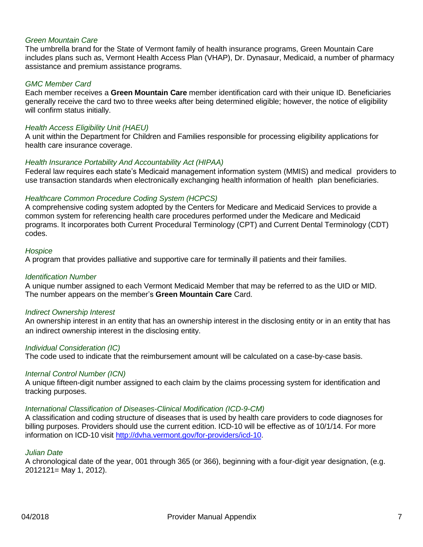#### *Green Mountain Care*

The umbrella brand for the State of Vermont family of health insurance programs, Green Mountain Care includes plans such as, Vermont Health Access Plan (VHAP), Dr. Dynasaur, Medicaid, a number of pharmacy assistance and premium assistance programs.

#### *GMC Member Card*

Each member receives a **Green Mountain Care** member identification card with their unique ID. Beneficiaries generally receive the card two to three weeks after being determined eligible; however, the notice of eligibility will confirm status initially.

#### *Health Access Eligibility Unit (HAEU)*

A unit within the Department for Children and Families responsible for processing eligibility applications for health care insurance coverage.

#### *Health Insurance Portability And Accountability Act (HIPAA)*

Federal law requires each state's Medicaid management information system (MMIS) and medical providers to use transaction standards when electronically exchanging health information of health plan beneficiaries.

#### *Healthcare Common Procedure Coding System (HCPCS)*

A comprehensive coding system adopted by the Centers for Medicare and Medicaid Services to provide a common system for referencing health care procedures performed under the Medicare and Medicaid programs. It incorporates both Current Procedural Terminology (CPT) and Current Dental Terminology (CDT) codes.

#### *Hospice*

A program that provides palliative and supportive care for terminally ill patients and their families.

#### *Identification Number*

A unique number assigned to each Vermont Medicaid Member that may be referred to as the UID or MID. The number appears on the member's **Green Mountain Care** Card.

#### *Indirect Ownership Interest*

An ownership interest in an entity that has an ownership interest in the disclosing entity or in an entity that has an indirect ownership interest in the disclosing entity.

#### *Individual Consideration (IC)*

The code used to indicate that the reimbursement amount will be calculated on a case-by-case basis.

#### *Internal Control Number (ICN)*

A unique fifteen-digit number assigned to each claim by the claims processing system for identification and tracking purposes.

#### *International Classification of Diseases-Clinical Modification (ICD-9-CM)*

A classification and coding structure of diseases that is used by health care providers to code diagnoses for billing purposes. Providers should use the current edition. ICD-10 will be effective as of 10/1/14. For more information on ICD-10 visit [http://dvha.vermont.gov/for-providers/icd-10.](http://dvha.vermont.gov/for-providers/icd-10)

#### *Julian Date*

A chronological date of the year, 001 through 365 (or 366), beginning with a four-digit year designation, (e.g. 2012121= May 1, 2012).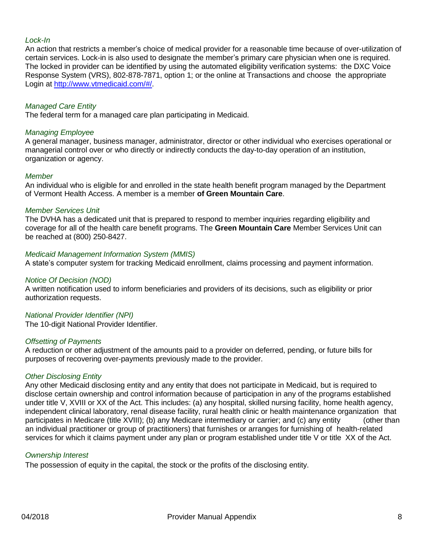#### *Lock-In*

An action that restricts a member's choice of medical provider for a reasonable time because of over-utilization of certain services. Lock-in is also used to designate the member's primary care physician when one is required. The locked in provider can be identified by using the automated eligibility verification systems: the DXC Voice Response System (VRS), 802-878-7871, option 1; or the online at Transactions and choose the appropriate Login at [http://www.vtmedicaid.com/#/.](http://www.vtmedicaid.com/%23/)

#### *Managed Care Entity*

The federal term for a managed care plan participating in Medicaid.

#### *Managing Employee*

A general manager, business manager, administrator, director or other individual who exercises operational or managerial control over or who directly or indirectly conducts the day-to-day operation of an institution, organization or agency.

#### *Member*

An individual who is eligible for and enrolled in the state health benefit program managed by the Department of Vermont Health Access. A member is a member **of Green Mountain Care**.

#### *Member Services Unit*

The DVHA has a dedicated unit that is prepared to respond to member inquiries regarding eligibility and coverage for all of the health care benefit programs. The **Green Mountain Care** Member Services Unit can be reached at (800) 250-8427.

#### *Medicaid Management Information System (MMIS)*

A state's computer system for tracking Medicaid enrollment, claims processing and payment information.

#### *Notice Of Decision (NOD)*

A written notification used to inform beneficiaries and providers of its decisions, such as eligibility or prior authorization requests.

#### *National Provider Identifier (NPI)*

The 10-digit National Provider Identifier.

#### *Offsetting of Payments*

A reduction or other adjustment of the amounts paid to a provider on deferred, pending, or future bills for purposes of recovering over-payments previously made to the provider.

#### *Other Disclosing Entity*

Any other Medicaid disclosing entity and any entity that does not participate in Medicaid, but is required to disclose certain ownership and control information because of participation in any of the programs established under title V, XVIII or XX of the Act. This includes: (a) any hospital, skilled nursing facility, home health agency, independent clinical laboratory, renal disease facility, rural health clinic or health maintenance organization that participates in Medicare (title XVIII); (b) any Medicare intermediary or carrier; and (c) any entity (other than an individual practitioner or group of practitioners) that furnishes or arranges for furnishing of health-related services for which it claims payment under any plan or program established under title V or title XX of the Act.

#### *Ownership Interest*

The possession of equity in the capital, the stock or the profits of the disclosing entity.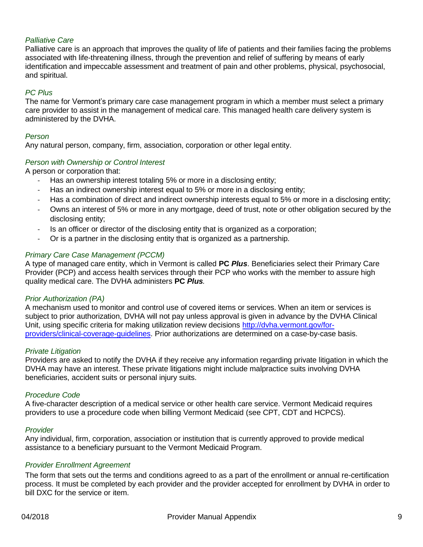#### *Palliative Care*

Palliative care is an approach that improves the quality of life of patients and their families facing the problems associated with life-threatening illness, through the prevention and relief of suffering by means of early identification and impeccable assessment and treatment of pain and other problems, physical, psychosocial, and spiritual.

#### *PC Plus*

The name for Vermont's primary care case management program in which a member must select a primary care provider to assist in the management of medical care. This managed health care delivery system is administered by the DVHA.

#### *Person*

Any natural person, company, firm, association, corporation or other legal entity.

#### *Person with Ownership or Control Interest*

A person or corporation that:

- Has an ownership interest totaling 5% or more in a disclosing entity;
- Has an indirect ownership interest equal to 5% or more in a disclosing entity;
- Has a combination of direct and indirect ownership interests equal to 5% or more in a disclosing entity;
- Owns an interest of 5% or more in any mortgage, deed of trust, note or other obligation secured by the disclosing entity;
- Is an officer or director of the disclosing entity that is organized as a corporation;
- Or is a partner in the disclosing entity that is organized as a partnership.

#### *Primary Care Case Management (PCCM)*

A type of managed care entity, which in Vermont is called **PC** *Plus*. Beneficiaries select their Primary Care Provider (PCP) and access health services through their PCP who works with the member to assure high quality medical care. The DVHA administers **PC** *Plus.*

#### *Prior Authorization (PA)*

A mechanism used to monitor and control use of covered items or services. When an item or services is subject to prior authorization, DVHA will not pay unless approval is given in advance by the DVHA Clinical Unit, using specific criteria for making utilization review decisions [http://dvha.vermont.gov/for](http://dvha.vermont.gov/for-)providers/clinical-coverage-guidelines. Prior authorizations are determined on a case-by-case basis.

#### *Private Litigation*

Providers are asked to notify the DVHA if they receive any information regarding private litigation in which the DVHA may have an interest. These private litigations might include malpractice suits involving DVHA beneficiaries, accident suits or personal injury suits.

#### *Procedure Code*

A five-character description of a medical service or other health care service. Vermont Medicaid requires providers to use a procedure code when billing Vermont Medicaid (see CPT, CDT and HCPCS).

#### *Provider*

Any individual, firm, corporation, association or institution that is currently approved to provide medical assistance to a beneficiary pursuant to the Vermont Medicaid Program.

#### *Provider Enrollment Agreement*

The form that sets out the terms and conditions agreed to as a part of the enrollment or annual re-certification process. It must be completed by each provider and the provider accepted for enrollment by DVHA in order to bill DXC for the service or item.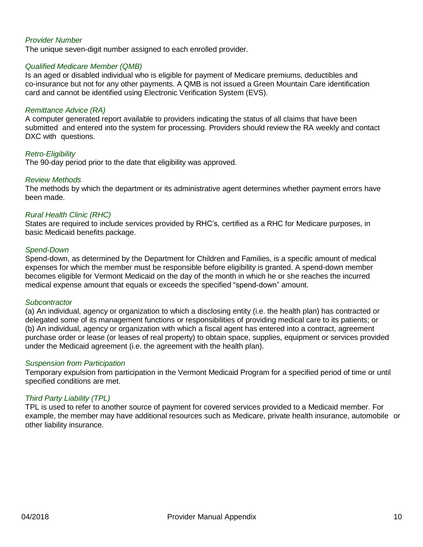#### *Provider Number*

The unique seven-digit number assigned to each enrolled provider.

#### *Qualified Medicare Member (QMB)*

Is an aged or disabled individual who is eligible for payment of Medicare premiums, deductibles and co-insurance but not for any other payments. A QMB is not issued a Green Mountain Care identification card and cannot be identified using Electronic Verification System (EVS).

#### *Remittance Advice (RA)*

A computer generated report available to providers indicating the status of all claims that have been submitted and entered into the system for processing. Providers should review the RA weekly and contact DXC with questions.

#### *Retro-Eligibility*

The 90-day period prior to the date that eligibility was approved.

#### *Review Methods*

The methods by which the department or its administrative agent determines whether payment errors have been made.

#### *Rural Health Clinic (RHC)*

States are required to include services provided by RHC's, certified as a RHC for Medicare purposes, in basic Medicaid benefits package.

#### *Spend-Down*

Spend-down, as determined by the Department for Children and Families, is a specific amount of medical expenses for which the member must be responsible before eligibility is granted. A spend-down member becomes eligible for Vermont Medicaid on the day of the month in which he or she reaches the incurred medical expense amount that equals or exceeds the specified "spend-down" amount.

#### *Subcontractor*

(a) An individual, agency or organization to which a disclosing entity (i.e. the health plan) has contracted or delegated some of its management functions or responsibilities of providing medical care to its patients; or (b) An individual, agency or organization with which a fiscal agent has entered into a contract, agreement purchase order or lease (or leases of real property) to obtain space, supplies, equipment or services provided under the Medicaid agreement (i.e. the agreement with the health plan).

#### *Suspension from Participation*

Temporary expulsion from participation in the Vermont Medicaid Program for a specified period of time or until specified conditions are met.

#### *Third Party Liability (TPL)*

TPL is used to refer to another source of payment for covered services provided to a Medicaid member. For example, the member may have additional resources such as Medicare, private health insurance, automobile or other liability insurance.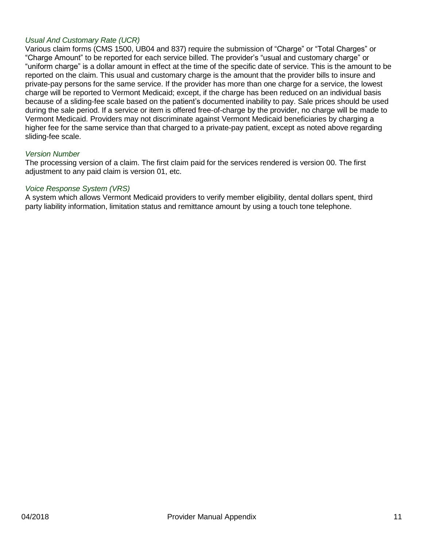#### *Usual And Customary Rate (UCR)*

Various claim forms (CMS 1500, UB04 and 837) require the submission of "Charge" or "Total Charges" or "Charge Amount" to be reported for each service billed. The provider's "usual and customary charge" or "uniform charge" is a dollar amount in effect at the time of the specific date of service. This is the amount to be reported on the claim. This usual and customary charge is the amount that the provider bills to insure and private-pay persons for the same service. If the provider has more than one charge for a service, the lowest charge will be reported to Vermont Medicaid; except, if the charge has been reduced on an individual basis because of a sliding-fee scale based on the patient's documented inability to pay. Sale prices should be used during the sale period. If a service or item is offered free-of-charge by the provider, no charge will be made to Vermont Medicaid. Providers may not discriminate against Vermont Medicaid beneficiaries by charging a higher fee for the same service than that charged to a private-pay patient, except as noted above regarding sliding-fee scale.

#### *Version Number*

The processing version of a claim. The first claim paid for the services rendered is version 00. The first adjustment to any paid claim is version 01, etc.

#### *Voice Response System (VRS)*

A system which allows Vermont Medicaid providers to verify member eligibility, dental dollars spent, third party liability information, limitation status and remittance amount by using a touch tone telephone.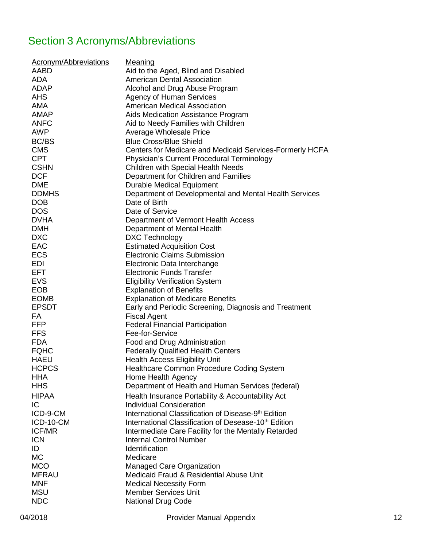# <span id="page-11-0"></span>Section 3 Acronyms/Abbreviations

| <b>Acronym/Abbreviations</b><br>AABD<br><b>ADA</b><br><b>ADAP</b><br><b>AHS</b><br><b>AMA</b><br><b>AMAP</b><br><b>ANFC</b><br><b>AWP</b><br><b>BC/BS</b><br><b>CMS</b><br><b>CPT</b><br><b>CSHN</b><br><b>DCF</b><br><b>DME</b> | <b>Meaning</b><br>Aid to the Aged, Blind and Disabled<br><b>American Dental Association</b><br>Alcohol and Drug Abuse Program<br><b>Agency of Human Services</b><br><b>American Medical Association</b><br>Aids Medication Assistance Program<br>Aid to Needy Families with Children<br><b>Average Wholesale Price</b><br><b>Blue Cross/Blue Shield</b><br>Centers for Medicare and Medicaid Services-Formerly HCFA<br><b>Physician's Current Procedural Terminology</b><br><b>Children with Special Health Needs</b><br>Department for Children and Families<br><b>Durable Medical Equipment</b> |
|----------------------------------------------------------------------------------------------------------------------------------------------------------------------------------------------------------------------------------|---------------------------------------------------------------------------------------------------------------------------------------------------------------------------------------------------------------------------------------------------------------------------------------------------------------------------------------------------------------------------------------------------------------------------------------------------------------------------------------------------------------------------------------------------------------------------------------------------|
| <b>DDMHS</b>                                                                                                                                                                                                                     | Department of Developmental and Mental Health Services                                                                                                                                                                                                                                                                                                                                                                                                                                                                                                                                            |
| <b>DOB</b>                                                                                                                                                                                                                       | Date of Birth                                                                                                                                                                                                                                                                                                                                                                                                                                                                                                                                                                                     |
| <b>DOS</b><br><b>DVHA</b>                                                                                                                                                                                                        | Date of Service                                                                                                                                                                                                                                                                                                                                                                                                                                                                                                                                                                                   |
| <b>DMH</b>                                                                                                                                                                                                                       | Department of Vermont Health Access<br>Department of Mental Health                                                                                                                                                                                                                                                                                                                                                                                                                                                                                                                                |
| <b>DXC</b>                                                                                                                                                                                                                       | <b>DXC Technology</b>                                                                                                                                                                                                                                                                                                                                                                                                                                                                                                                                                                             |
| EAC                                                                                                                                                                                                                              | <b>Estimated Acquisition Cost</b>                                                                                                                                                                                                                                                                                                                                                                                                                                                                                                                                                                 |
| <b>ECS</b>                                                                                                                                                                                                                       | <b>Electronic Claims Submission</b>                                                                                                                                                                                                                                                                                                                                                                                                                                                                                                                                                               |
| <b>EDI</b>                                                                                                                                                                                                                       | Electronic Data Interchange                                                                                                                                                                                                                                                                                                                                                                                                                                                                                                                                                                       |
| <b>EFT</b>                                                                                                                                                                                                                       | <b>Electronic Funds Transfer</b>                                                                                                                                                                                                                                                                                                                                                                                                                                                                                                                                                                  |
| <b>EVS</b>                                                                                                                                                                                                                       | <b>Eligibility Verification System</b>                                                                                                                                                                                                                                                                                                                                                                                                                                                                                                                                                            |
| <b>EOB</b>                                                                                                                                                                                                                       | <b>Explanation of Benefits</b>                                                                                                                                                                                                                                                                                                                                                                                                                                                                                                                                                                    |
| <b>EOMB</b>                                                                                                                                                                                                                      | <b>Explanation of Medicare Benefits</b>                                                                                                                                                                                                                                                                                                                                                                                                                                                                                                                                                           |
| <b>EPSDT</b><br>FA                                                                                                                                                                                                               | Early and Periodic Screening, Diagnosis and Treatment<br><b>Fiscal Agent</b>                                                                                                                                                                                                                                                                                                                                                                                                                                                                                                                      |
| <b>FFP</b>                                                                                                                                                                                                                       | <b>Federal Financial Participation</b>                                                                                                                                                                                                                                                                                                                                                                                                                                                                                                                                                            |
| <b>FFS</b>                                                                                                                                                                                                                       | Fee-for-Service                                                                                                                                                                                                                                                                                                                                                                                                                                                                                                                                                                                   |
| <b>FDA</b>                                                                                                                                                                                                                       | Food and Drug Administration                                                                                                                                                                                                                                                                                                                                                                                                                                                                                                                                                                      |
| <b>FQHC</b>                                                                                                                                                                                                                      | <b>Federally Qualified Health Centers</b>                                                                                                                                                                                                                                                                                                                                                                                                                                                                                                                                                         |
| <b>HAEU</b>                                                                                                                                                                                                                      | <b>Health Access Eligibility Unit</b>                                                                                                                                                                                                                                                                                                                                                                                                                                                                                                                                                             |
| <b>HCPCS</b>                                                                                                                                                                                                                     | Healthcare Common Procedure Coding System                                                                                                                                                                                                                                                                                                                                                                                                                                                                                                                                                         |
| <b>HHA</b>                                                                                                                                                                                                                       | Home Health Agency                                                                                                                                                                                                                                                                                                                                                                                                                                                                                                                                                                                |
| <b>HHS</b>                                                                                                                                                                                                                       | Department of Health and Human Services (federal)                                                                                                                                                                                                                                                                                                                                                                                                                                                                                                                                                 |
| <b>HIPAA</b>                                                                                                                                                                                                                     | Health Insurance Portability & Accountability Act                                                                                                                                                                                                                                                                                                                                                                                                                                                                                                                                                 |
| IC                                                                                                                                                                                                                               | <b>Individual Consideration</b>                                                                                                                                                                                                                                                                                                                                                                                                                                                                                                                                                                   |
| ICD-9-CM                                                                                                                                                                                                                         | International Classification of Disease-9 <sup>th</sup> Edition                                                                                                                                                                                                                                                                                                                                                                                                                                                                                                                                   |
| ICD-10-CM                                                                                                                                                                                                                        | International Classification of Desease-10 <sup>th</sup> Edition                                                                                                                                                                                                                                                                                                                                                                                                                                                                                                                                  |
| <b>ICF/MR</b>                                                                                                                                                                                                                    | Intermediate Care Facility for the Mentally Retarded                                                                                                                                                                                                                                                                                                                                                                                                                                                                                                                                              |
| <b>ICN</b>                                                                                                                                                                                                                       | <b>Internal Control Number</b>                                                                                                                                                                                                                                                                                                                                                                                                                                                                                                                                                                    |
| ID                                                                                                                                                                                                                               | Identification                                                                                                                                                                                                                                                                                                                                                                                                                                                                                                                                                                                    |
| <b>MC</b><br><b>MCO</b>                                                                                                                                                                                                          | Medicare                                                                                                                                                                                                                                                                                                                                                                                                                                                                                                                                                                                          |
| <b>MFRAU</b>                                                                                                                                                                                                                     | Managed Care Organization<br>Medicaid Fraud & Residential Abuse Unit                                                                                                                                                                                                                                                                                                                                                                                                                                                                                                                              |
| <b>MNF</b>                                                                                                                                                                                                                       | <b>Medical Necessity Form</b>                                                                                                                                                                                                                                                                                                                                                                                                                                                                                                                                                                     |
| <b>MSU</b>                                                                                                                                                                                                                       | <b>Member Services Unit</b>                                                                                                                                                                                                                                                                                                                                                                                                                                                                                                                                                                       |
| <b>NDC</b>                                                                                                                                                                                                                       | <b>National Drug Code</b>                                                                                                                                                                                                                                                                                                                                                                                                                                                                                                                                                                         |
|                                                                                                                                                                                                                                  |                                                                                                                                                                                                                                                                                                                                                                                                                                                                                                                                                                                                   |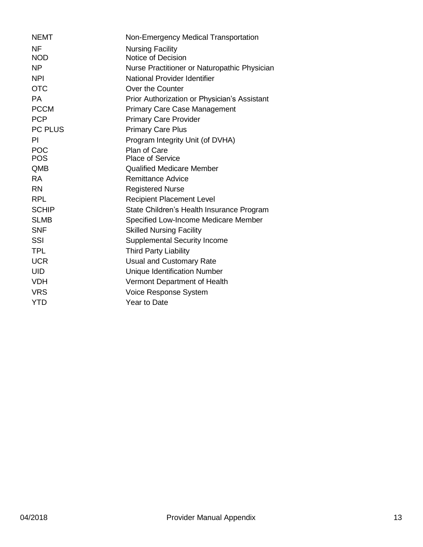| <b>NEMT</b>  | Non-Emergency Medical Transportation         |
|--------------|----------------------------------------------|
| <b>NF</b>    | <b>Nursing Facility</b>                      |
| <b>NOD</b>   | Notice of Decision                           |
| <b>NP</b>    | Nurse Practitioner or Naturopathic Physician |
| <b>NPI</b>   | National Provider Identifier                 |
| <b>OTC</b>   | Over the Counter                             |
| PA.          | Prior Authorization or Physician's Assistant |
| <b>PCCM</b>  | <b>Primary Care Case Management</b>          |
| <b>PCP</b>   | <b>Primary Care Provider</b>                 |
| PC PLUS      | <b>Primary Care Plus</b>                     |
| PI           | Program Integrity Unit (of DVHA)             |
| <b>POC</b>   | Plan of Care                                 |
| <b>POS</b>   | <b>Place of Service</b>                      |
| <b>QMB</b>   | <b>Qualified Medicare Member</b>             |
| <b>RA</b>    | <b>Remittance Advice</b>                     |
| <b>RN</b>    | <b>Registered Nurse</b>                      |
| <b>RPL</b>   | <b>Recipient Placement Level</b>             |
| <b>SCHIP</b> | State Children's Health Insurance Program    |
| <b>SLMB</b>  | Specified Low-Income Medicare Member         |
| <b>SNF</b>   | <b>Skilled Nursing Facility</b>              |
| SSI          | <b>Supplemental Security Income</b>          |
| <b>TPL</b>   | <b>Third Party Liability</b>                 |
| <b>UCR</b>   | <b>Usual and Customary Rate</b>              |
| <b>UID</b>   | <b>Unique Identification Number</b>          |
| <b>VDH</b>   | Vermont Department of Health                 |
| <b>VRS</b>   | Voice Response System                        |
| <b>YTD</b>   | Year to Date                                 |
|              |                                              |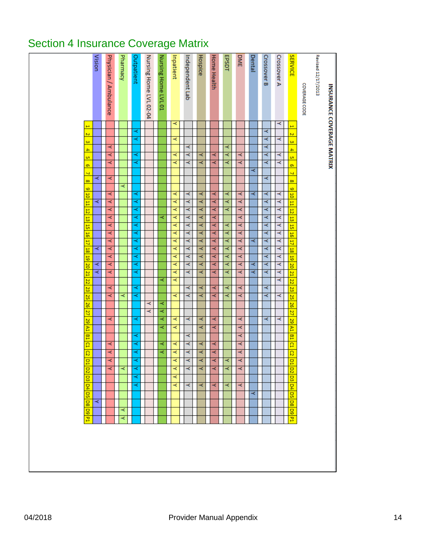# <span id="page-13-0"></span>Section 4 Insurance Coverage Matrix

| INSURANCE COVERAGE MATRIX |   |   |     |   |           |    |   |    |   |   |                 |                 |   |                |                |    |   |          |             |                |                |                 |                         |                 |                |                |                         |                 |                         |                               |   |    |   |                |          |                         |                 |   |
|---------------------------|---|---|-----|---|-----------|----|---|----|---|---|-----------------|-----------------|---|----------------|----------------|----|---|----------|-------------|----------------|----------------|-----------------|-------------------------|-----------------|----------------|----------------|-------------------------|-----------------|-------------------------|-------------------------------|---|----|---|----------------|----------|-------------------------|-----------------|---|
| Revised 12/17/2013        |   |   |     |   |           |    |   |    |   |   |                 |                 |   |                |                |    |   |          |             |                |                |                 |                         |                 |                |                |                         |                 |                         |                               |   |    |   |                |          |                         |                 |   |
| COVERAGE CODE             |   |   |     |   |           |    |   |    |   |   |                 |                 |   |                |                |    |   |          |             |                |                |                 |                         |                 |                |                |                         |                 |                         |                               |   |    |   |                |          |                         |                 |   |
| <b>SERVICE</b>            | Ë | Ñ | Ġä, | 4 | û,        | ō, | 4 | 8  | 6 |   | $\frac{10}{10}$ | $\overline{5}$  | ᇥ | $\overline{5}$ | $\overline{5}$ | Ę  |   |          | 18 19 20 21 |                | $\overline{z}$ | $\overline{23}$ | $\overline{\mathbf{z}}$ | $\overline{26}$ | $\overline{z}$ | 29             | $\overline{\mathbf{z}}$ | 四               | $\overline{\mathbf{p}}$ | $\overline{\mathbf{c}}$<br>ਕੁ |   | p2 | 묘 | ÞД             | 묘        | $\overline{8}$          | $\overline{50}$ | 굠 |
| Crossover A               | ≺ |   | ≺   |   | k         | Y  |   |    |   | ≺ | ≺               | ≺               | ≺ | ≺              | ≺              | ≺  | k | ≺        | ≺           | ≺              | ≺              |                 | ≺                       |                 |                | ≺              |                         |                 |                         |                               |   |    |   |                |          |                         |                 |   |
| <b>Crossover B</b>        |   | ≺ | ≺   | ≺ | ≺         | ٨  |   | ≺  |   | k | x               | k               | ≺ | ≺              | ≺              | ≺  | k | ≺        | ≺           | k              |                | ≺               | k                       |                 | ۸              |                |                         |                 |                         |                               |   |    |   |                |          |                         |                 |   |
| Dental                    |   |   |     |   |           |    | ≺ |    |   | ≺ |                 |                 |   |                |                | ≺  |   |          | ≺           | k              |                |                 |                         |                 |                |                |                         |                 |                         |                               |   |    |   | ≺              |          |                         |                 |   |
| <b>DME</b>                |   |   |     |   | ≺         | ≺  |   |    |   | ≺ | ≺               | ≺               | ₹ | ≺              | ≺              | k  | ≺ | ≺        | ≺           | ≺              |                | k               | ≺                       |                 |                | ≺              | ≺                       | ₹<br>₹          | ≺                       | ≺                             | ≺ |    | ≺ |                |          |                         |                 |   |
| <b>EPSDT</b>              |   |   |     | ₹ | ≺         | Y  |   |    |   | k | ≺               | ≺               |   | ₹              | ≺              | k  | ≺ | ≺        | ≺           | ₹              |                | ≺               | ₹                       |                 |                |                |                         |                 |                         | ≺                             | ≺ |    | ≺ |                |          |                         |                 |   |
| <b>Home Health</b>        |   |   |     |   | k         | k  |   |    |   | ≺ | k               | ≺               | ≺ | ≺              | ≺              | ≺  | ≺ | ≺        | ×           | ≺              |                | k               | ×                       |                 | ₹              | ×              |                         | ≺               | ≺                       | ≺                             | ≺ |    | ≺ |                |          |                         |                 |   |
| Hospice                   |   |   |     |   | k         | k  |   |    |   | ≺ | ≺               | ≺               | ₹ | ≺              | ≺              | k  | k | ≺        | ≺           | ₹              |                | k               | ≺                       |                 |                | ≺<br>≺         |                         | ≺               | ₹                       | ≺                             | ≺ |    | ≺ |                |          |                         |                 |   |
| Independent Lab           |   |   |     | ≺ | ≺         | ×  |   |    |   | k | ×               | k               | ≺ | ≺              | ≺              | ≺  | ≺ | ≺        | ≺           | k              |                | ≺               | ≺                       |                 | ≺              |                | ≺                       | ≺               | ≺                       | ≺                             | ≺ |    | ≺ |                |          |                         |                 |   |
| Inpatient                 | ≺ |   | ≺   |   | ≺         | k  |   |    |   | ≺ | ≺               | ≺               | ≺ | ≺              | k              | ≺  | ≺ | ≺        | ≺           | ≺              | ≺              |                 | ≺                       |                 |                | ≺              | ≺                       | ≺               | k                       | ≺                             | ≺ | ≺  | ≺ |                |          |                         |                 |   |
| Nursing Home LVL 01       |   |   |     |   |           |    |   |    |   |   |                 |                 | k |                |                |    |   |          |             |                | ≺              |                 |                         | ⋜               | ₹              | ₹<br>⋜         |                         | ⋜               | ₹                       |                               |   |    |   |                |          |                         |                 |   |
| Nursing Home LVL 02-04    |   |   |     |   |           |    |   |    |   |   |                 |                 |   |                |                |    |   |          |             |                |                |                 |                         | ≺               | ≺              |                |                         |                 |                         |                               |   |    |   |                |          |                         |                 |   |
| Outpatient                |   | ≺ | ≺   |   | ⋜         | k  |   |    |   | ≺ | ≺               | ≺               | ⋜ | ₹              | ₹              | ₹  | ₹ | ₹        | ⋜           | ≺              |                | ≺               | Y                       |                 | k              |                | ⋖                       | ⋖               | ≺                       | ₹                             | k | k  | k |                |          |                         |                 |   |
| Pharmacy                  |   |   |     |   |           |    |   |    | ≺ |   |                 |                 |   |                |                |    |   |          |             |                |                |                 | ≺                       |                 |                |                |                         |                 |                         |                               | ≺ |    |   |                |          | ≺                       | ≺               |   |
| Physician / Ambulance     |   |   |     | ≺ | ≺         | ≺  |   | ≺  |   | ≺ | k               | ≺               | ₹ | ≺              | ₹              | ≺  | ≺ | ≺        | ≺           | ≺              |                | ≺               | ≺                       |                 |                | ≺              |                         | ≺               | ≺                       | ≺                             | ≺ |    |   |                |          |                         |                 |   |
| Vision                    |   |   |     |   |           |    |   | ≺  |   |   | ≺               |                 |   |                |                |    | ≺ |          | ≺           | k              |                |                 |                         |                 |                |                |                         |                 |                         |                               |   |    |   |                | ×        |                         |                 |   |
|                           | Ë | Ñ | Ġä, | 4 | <u>ui</u> | ø, | 4 | 60 | 6 | E | Ħ               | $\overline{12}$ | ᇥ | $\overline{5}$ | $\frac{1}{26}$ | H, |   | 18 19 20 |             | $\overline{z}$ | 22             | 23              | 25                      | $\overline{26}$ | $\overline{z}$ | S <sub>3</sub> | $\overline{H}$          | $\overline{B1}$ | $\overline{\mathbf{p}}$ | g<br>$\overline{\mathbf{C}}$  |   | g  | 묘 | $\overline{P}$ | <b>G</b> | $\overline{\mathbf{g}}$ | $\overline{50}$ | વ |
|                           |   |   |     |   |           |    |   |    |   |   |                 |                 |   |                |                |    |   |          |             |                |                |                 |                         |                 |                |                |                         |                 |                         |                               |   |    |   |                |          |                         |                 |   |
|                           |   |   |     |   |           |    |   |    |   |   |                 |                 |   |                |                |    |   |          |             |                |                |                 |                         |                 |                |                |                         |                 |                         |                               |   |    |   |                |          |                         |                 |   |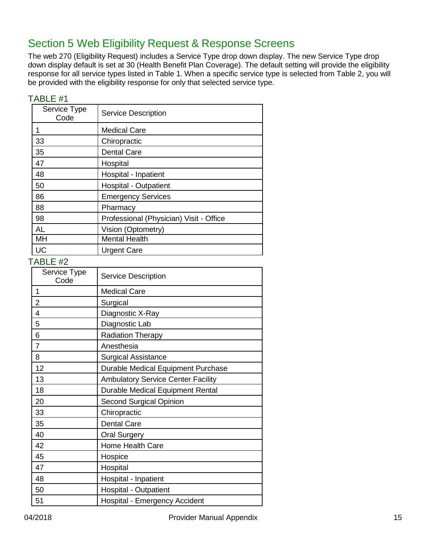# <span id="page-14-0"></span>Section 5 Web Eligibility Request & Response Screens

The web 270 (Eligibility Request) includes a Service Type drop down display. The new Service Type drop down display default is set at 30 (Health Benefit Plan Coverage). The default setting will provide the eligibility response for all service types listed in Table 1. When a specific service type is selected from Table 2, you will be provided with the eligibility response for only that selected service type.

| $I$ ADLE $H$ I       |                                         |
|----------------------|-----------------------------------------|
| Service Type<br>Code | <b>Service Description</b>              |
| 1                    | <b>Medical Care</b>                     |
| 33                   | Chiropractic                            |
| 35                   | <b>Dental Care</b>                      |
| 47                   | Hospital                                |
| 48                   | Hospital - Inpatient                    |
| 50                   | <b>Hospital - Outpatient</b>            |
| 86                   | <b>Emergency Services</b>               |
| 88                   | Pharmacy                                |
| 98                   | Professional (Physician) Visit - Office |
| <b>AL</b>            | Vision (Optometry)                      |
| MH                   | <b>Mental Health</b>                    |
| UC                   | <b>Urgent Care</b>                      |

#### <span id="page-14-1"></span> $TADI E #1$

<span id="page-14-2"></span>

| Service Type<br>Code | <b>Service Description</b>                |
|----------------------|-------------------------------------------|
| 1                    | <b>Medical Care</b>                       |
| 2                    | Surgical                                  |
| 4                    | Diagnostic X-Ray                          |
| 5                    | Diagnostic Lab                            |
| 6                    | <b>Radiation Therapy</b>                  |
| $\overline{7}$       | Anesthesia                                |
| 8                    | <b>Surgical Assistance</b>                |
| 12                   | Durable Medical Equipment Purchase        |
| 13                   | <b>Ambulatory Service Center Facility</b> |
| 18                   | Durable Medical Equipment Rental          |
| 20                   | <b>Second Surgical Opinion</b>            |
| 33                   | Chiropractic                              |
| 35                   | <b>Dental Care</b>                        |
| 40                   | <b>Oral Surgery</b>                       |
| 42                   | Home Health Care                          |
| 45                   | Hospice                                   |
| 47                   | Hospital                                  |
| 48                   | Hospital - Inpatient                      |
| 50                   | Hospital - Outpatient                     |
| 51                   | <b>Hospital - Emergency Accident</b>      |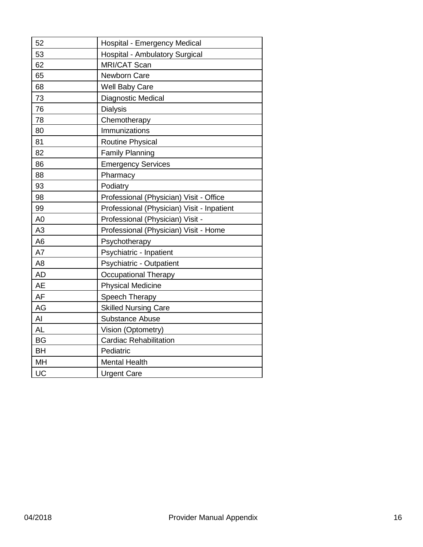| 52             | Hospital - Emergency Medical               |
|----------------|--------------------------------------------|
| 53             | <b>Hospital - Ambulatory Surgical</b>      |
| 62             | <b>MRI/CAT Scan</b>                        |
| 65             | Newborn Care                               |
| 68             | <b>Well Baby Care</b>                      |
| 73             | Diagnostic Medical                         |
| 76             | <b>Dialysis</b>                            |
| 78             | Chemotherapy                               |
| 80             | Immunizations                              |
| 81             | Routine Physical                           |
| 82             | <b>Family Planning</b>                     |
| 86             | <b>Emergency Services</b>                  |
| 88             | Pharmacy                                   |
| 93             | Podiatry                                   |
| 98             | Professional (Physician) Visit - Office    |
| 99             | Professional (Physician) Visit - Inpatient |
| A <sub>0</sub> | Professional (Physician) Visit -           |
| A <sub>3</sub> | Professional (Physician) Visit - Home      |
| A <sub>6</sub> | Psychotherapy                              |
| A7             | Psychiatric - Inpatient                    |
| A <sub>8</sub> | Psychiatric - Outpatient                   |
| <b>AD</b>      | <b>Occupational Therapy</b>                |
| <b>AE</b>      | <b>Physical Medicine</b>                   |
| <b>AF</b>      | Speech Therapy                             |
| AG             | <b>Skilled Nursing Care</b>                |
| AI             | Substance Abuse                            |
| <b>AL</b>      | Vision (Optometry)                         |
| <b>BG</b>      | <b>Cardiac Rehabilitation</b>              |
| <b>BH</b>      | Pediatric                                  |
| MH             | <b>Mental Health</b>                       |
| UC             | <b>Urgent Care</b>                         |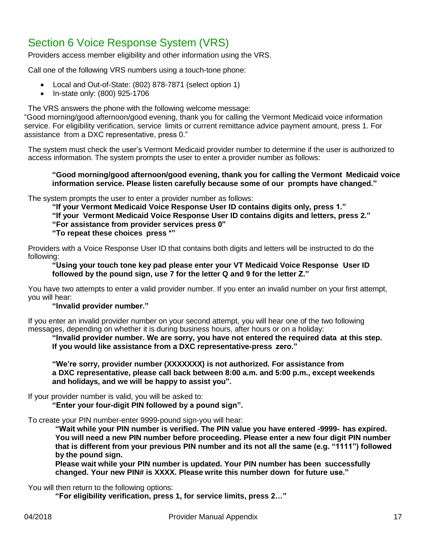# <span id="page-16-0"></span>Section 6 Voice Response System (VRS)

Providers access member eligibility and other information using the VRS.

Call one of the following VRS numbers using a touch-tone phone:

- Local and Out-of-State: (802) 878-7871 (select option 1)
- In-state only: (800) 925-1706

The VRS answers the phone with the following welcome message:

"Good morning/good afternoon/good evening, thank you for calling the Vermont Medicaid voice information service. For eligibility verification, service limits or current remittance advice payment amount, press 1. For assistance from a DXC representative, press 0."

The system must check the user's Vermont Medicaid provider number to determine if the user is authorized to access information. The system prompts the user to enter a provider number as follows:

#### **"Good morning/good afternoon/good evening, thank you for calling the Vermont Medicaid voice information service. Please listen carefully because some of our prompts have changed."**

The system prompts the user to enter a provider number as follows:

**"If your Vermont Medicaid Voice Response User ID contains digits only, press 1."**

**"If your Vermont Medicaid Voice Response User ID contains digits and letters, press 2."**

**"For assistance from provider services press 0"**

**"To repeat these choices press \*"**

Providers with a Voice Response User ID that contains both digits and letters will be instructed to do the following:

**"Using your touch tone key pad please enter your VT Medicaid Voice Response User ID followed by the pound sign, use 7 for the letter Q and 9 for the letter Z."**

You have two attempts to enter a valid provider number. If you enter an invalid number on your first attempt, you will hear:

#### **"Invalid provider number."**

If you enter an invalid provider number on your second attempt, you will hear one of the two following messages, depending on whether it is during business hours, after hours or on a holiday:

**"Invalid provider number. We are sorry, you have not entered the required data at this step. If you would like assistance from a DXC representative-press zero."**

**"We're sorry, provider number (XXXXXXX) is not authorized. For assistance from a DXC representative, please call back between 8:00 a.m. and 5:00 p.m., except weekends and holidays, and we will be happy to assist you".**

If your provider number is valid, you will be asked to:

**"Enter your four-digit PIN followed by a pound sign".**

To create your PIN number-enter 9999-pound sign-you will hear:

**"Wait while your PIN number is verified. The PIN value you have entered -9999- has expired. You will need a new PIN number before proceeding. Please enter a new four digit PIN number that is different from your previous PIN number and its not all the same (e.g. "1111") followed by the pound sign.**

**Please wait while your PIN number is updated. Your PIN number has been successfully changed. Your new PIN# is XXXX. Please write this number down for future use."**

#### You will then return to the following options:

**"For eligibility verification, press 1, for service limits, press 2…"**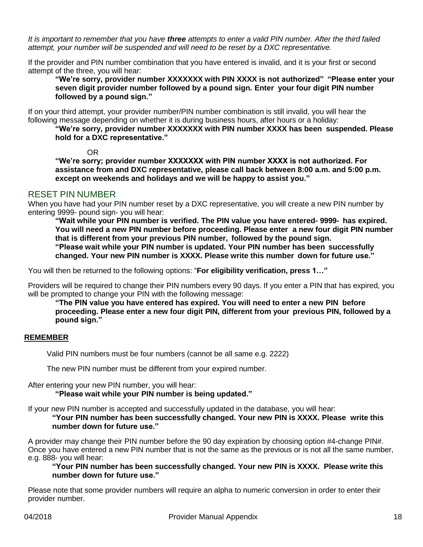*It is important to remember that you have three attempts to enter a valid PIN number. After the third failed attempt, your number will be suspended and will need to be reset by a DXC representative.*

If the provider and PIN number combination that you have entered is invalid, and it is your first or second attempt of the three, you will hear:

**"We're sorry, provider number XXXXXXX with PIN XXXX is not authorized" "Please enter your seven digit provider number followed by a pound sign. Enter your four digit PIN number followed by a pound sign."**

If on your third attempt, your provider number/PIN number combination is still invalid, you will hear the following message depending on whether it is during business hours, after hours or a holiday:

**"We're sorry, provider number XXXXXXX with PIN number XXXX has been suspended. Please hold for a DXC representative."**

OR

**"We're sorry; provider number XXXXXXX with PIN number XXXX is not authorized. For assistance from and DXC representative, please call back between 8:00 a.m. and 5:00 p.m. except on weekends and holidays and we will be happy to assist you."**

#### <span id="page-17-0"></span>RESET PIN NUMBER

When you have had your PIN number reset by a DXC representative, you will create a new PIN number by entering 9999- pound sign- you will hear:

**"Wait while your PIN number is verified. The PIN value you have entered- 9999- has expired. You will need a new PIN number before proceeding. Please enter a new four digit PIN number that is different from your previous PIN number, followed by the pound sign. "Please wait while your PIN number is updated. Your PIN number has been successfully**

**changed. Your new PIN number is XXXX. Please write this number down for future use."**

You will then be returned to the following options: "**For eligibility verification, press 1…"**

Providers will be required to change their PIN numbers every 90 days. If you enter a PIN that has expired, you will be prompted to change your PIN with the following message:

**"The PIN value you have entered has expired. You will need to enter a new PIN before proceeding. Please enter a new four digit PIN, different from your previous PIN, followed by a pound sign."**

#### **REMEMBER**

Valid PIN numbers must be four numbers (cannot be all same e.g. 2222)

The new PIN number must be different from your expired number.

After entering your new PIN number, you will hear:

**"Please wait while your PIN number is being updated."**

If your new PIN number is accepted and successfully updated in the database, you will hear: **"Your PIN number has been successfully changed. Your new PIN is XXXX. Please write this** 

#### **number down for future use."**

A provider may change their PIN number before the 90 day expiration by choosing option #4-change PIN#. Once you have entered a new PIN number that is not the same as the previous or is not all the same number, e.g. 888- you will hear:

**"Your PIN number has been successfully changed. Your new PIN is XXXX. Please write this number down for future use."**

Please note that some provider numbers will require an alpha to numeric conversion in order to enter their provider number.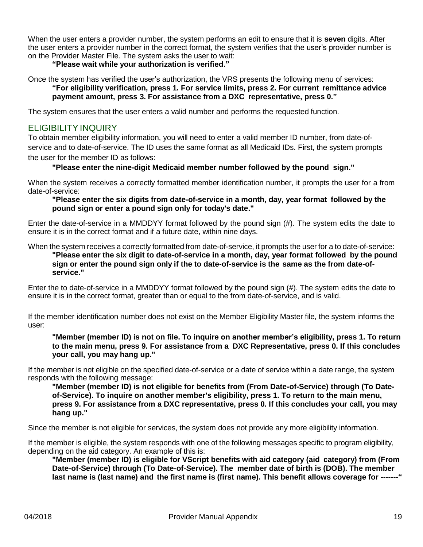When the user enters a provider number, the system performs an edit to ensure that it is **seven** digits. After the user enters a provider number in the correct format, the system verifies that the user's provider number is on the Provider Master File. The system asks the user to wait:

#### **"Please wait while your authorization is verified."**

Once the system has verified the user's authorization, the VRS presents the following menu of services: **"For eligibility verification, press 1. For service limits, press 2. For current remittance advice payment amount, press 3. For assistance from a DXC representative, press 0."**

The system ensures that the user enters a valid number and performs the requested function.

#### <span id="page-18-0"></span>ELIGIBILITYINQUIRY

To obtain member eligibility information, you will need to enter a valid member ID number, from date-ofservice and to date-of-service. The ID uses the same format as all Medicaid IDs. First, the system prompts the user for the member ID as follows:

#### **"Please enter the nine-digit Medicaid member number followed by the pound sign."**

When the system receives a correctly formatted member identification number, it prompts the user for a from date-of-service:

#### **"Please enter the six digits from date-of-service in a month, day, year format followed by the pound sign or enter a pound sign only for today's date."**

Enter the date-of-service in a MMDDYY format followed by the pound sign (#). The system edits the date to ensure it is in the correct format and if a future date, within nine days.

When the system receives a correctly formatted from date-of-service, it prompts the user for a to date-of-service:

**"Please enter the six digit to date-of-service in a month, day, year format followed by the pound sign or enter the pound sign only if the to date-of-service is the same as the from date-ofservice."**

Enter the to date-of-service in a MMDDYY format followed by the pound sign (#). The system edits the date to ensure it is in the correct format, greater than or equal to the from date-of-service, and is valid.

If the member identification number does not exist on the Member Eligibility Master file, the system informs the user:

#### **"Member (member ID) is not on file. To inquire on another member's eligibility, press 1. To return to the main menu, press 9. For assistance from a DXC Representative, press 0. If this concludes your call, you may hang up."**

If the member is not eligible on the specified date-of-service or a date of service within a date range, the system responds with the following message:

**"Member (member ID) is not eligible for benefits from (From Date-of-Service) through (To Dateof-Service). To inquire on another member's eligibility, press 1. To return to the main menu, press 9. For assistance from a DXC representative, press 0. If this concludes your call, you may hang up."**

Since the member is not eligible for services, the system does not provide any more eligibility information.

If the member is eligible, the system responds with one of the following messages specific to program eligibility, depending on the aid category. An example of this is:

**"Member (member ID) is eligible for VScript benefits with aid category (aid category) from (From Date-of-Service) through (To Date-of-Service). The member date of birth is (DOB). The member last name is (last name) and the first name is (first name). This benefit allows coverage for -------"**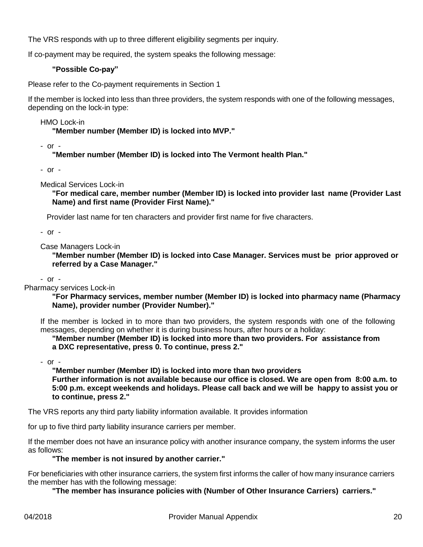The VRS responds with up to three different eligibility segments per inquiry.

If co-payment may be required, the system speaks the following message:

#### **"Possible Co-pay"**

Please refer to the Co-payment requirements in Section 1

If the member is locked into less than three providers, the system responds with one of the following messages, depending on the lock-in type:

HMO Lock-in

**"Member number (Member ID) is locked into MVP."**

- or -

**"Member number (Member ID) is locked into The Vermont health Plan."**

- or -

Medical Services Lock-in

**"For medical care, member number (Member ID) is locked into provider last name (Provider Last Name) and first name (Provider First Name)."**

Provider last name for ten characters and provider first name for five characters.

- or -

Case Managers Lock-in

**"Member number (Member ID) is locked into Case Manager. Services must be prior approved or referred by a Case Manager."**

- or -

Pharmacy services Lock-in

**"For Pharmacy services, member number (Member ID) is locked into pharmacy name (Pharmacy Name), provider number (Provider Number)."**

If the member is locked in to more than two providers, the system responds with one of the following messages, depending on whether it is during business hours, after hours or a holiday:

**"Member number (Member ID) is locked into more than two providers. For assistance from a DXC representative, press 0. To continue, press 2."**

- or -

**"Member number (Member ID) is locked into more than two providers Further information is not available because our office is closed. We are open from 8:00 a.m. to 5:00 p.m. except weekends and holidays. Please call back and we will be happy to assist you or to continue, press 2."**

The VRS reports any third party liability information available. It provides information

for up to five third party liability insurance carriers per member.

If the member does not have an insurance policy with another insurance company, the system informs the user as follows:

#### **"The member is not insured by another carrier."**

For beneficiaries with other insurance carriers, the system first informs the caller of how many insurance carriers the member has with the following message:

**"The member has insurance policies with (Number of Other Insurance Carriers) carriers."**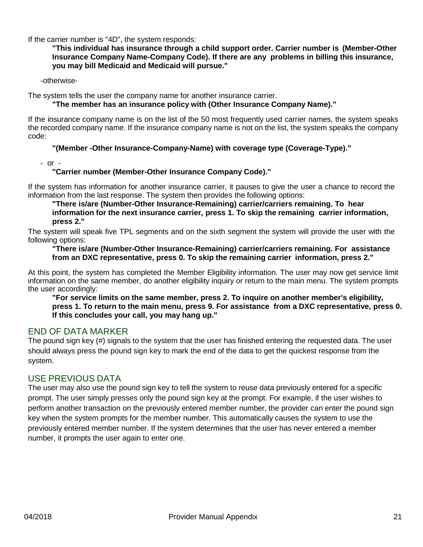If the carrier number is "4D", the system responds:

**"This individual has insurance through a child support order. Carrier number is (Member-Other Insurance Company Name-Company Code). If there are any problems in billing this insurance, you may bill Medicaid and Medicaid will pursue."**

-otherwise-

The system tells the user the company name for another insurance carrier.

#### **"The member has an insurance policy with (Other Insurance Company Name)."**

If the insurance company name is on the list of the 50 most frequently used carrier names, the system speaks the recorded company name. If the insurance company name is not on the list, the system speaks the company code:

#### **"(Member -Other Insurance-Company-Name) with coverage type (Coverage-Type)."**

- or -

#### **"Carrier number (Member-Other Insurance Company Code)."**

If the system has information for another insurance carrier, it pauses to give the user a chance to record the information from the last response. The system then provides the following options:

**"There is/are (Number-Other Insurance-Remaining) carrier/carriers remaining. To hear information for the next insurance carrier, press 1. To skip the remaining carrier information, press 2."**

The system will speak five TPL segments and on the sixth segment the system will provide the user with the following options:

#### **"There is/are (Number-Other Insurance-Remaining) carrier/carriers remaining. For assistance from an DXC representative, press 0. To skip the remaining carrier information, press 2."**

At this point, the system has completed the Member Eligibility information. The user may now get service limit information on the same member, do another eligibility inquiry or return to the main menu. The system prompts the user accordingly:

**"For service limits on the same member, press 2. To inquire on another member's eligibility, press 1. To return to the main menu, press 9. For assistance from a DXC representative, press 0. If this concludes your call, you may hang up."**

#### <span id="page-20-0"></span>END OF DATA MARKER

The pound sign key (#) signals to the system that the user has finished entering the requested data. The user should always press the pound sign key to mark the end of the data to get the quickest response from the system.

#### <span id="page-20-1"></span>USE PREVIOUS DATA

The user may also use the pound sign key to tell the system to reuse data previously entered for a specific prompt. The user simply presses only the pound sign key at the prompt. For example, if the user wishes to perform another transaction on the previously entered member number, the provider can enter the pound sign key when the system prompts for the member number. This automatically causes the system to use the previously entered member number. If the system determines that the user has never entered a member number, it prompts the user again to enter one.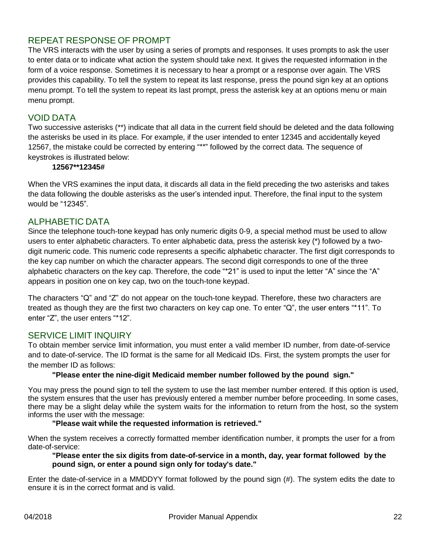#### <span id="page-21-0"></span>REPEAT RESPONSE OF PROMPT

The VRS interacts with the user by using a series of prompts and responses. It uses prompts to ask the user to enter data or to indicate what action the system should take next. It gives the requested information in the form of a voice response. Sometimes it is necessary to hear a prompt or a response over again. The VRS provides this capability. To tell the system to repeat its last response, press the pound sign key at an options menu prompt. To tell the system to repeat its last prompt, press the asterisk key at an options menu or main menu prompt.

#### <span id="page-21-1"></span>VOID DATA

Two successive asterisks (\*\*) indicate that all data in the current field should be deleted and the data following the asterisks be used in its place. For example, if the user intended to enter 12345 and accidentally keyed 12567, the mistake could be corrected by entering "\*\*" followed by the correct data. The sequence of keystrokes is illustrated below:

#### **12567\*\*12345#**

When the VRS examines the input data, it discards all data in the field preceding the two asterisks and takes the data following the double asterisks as the user's intended input. Therefore, the final input to the system would be "12345".

#### <span id="page-21-2"></span>ALPHABETIC DATA

Since the telephone touch-tone keypad has only numeric digits 0-9, a special method must be used to allow users to enter alphabetic characters. To enter alphabetic data, press the asterisk key (\*) followed by a twodigit numeric code. This numeric code represents a specific alphabetic character. The first digit corresponds to the key cap number on which the character appears. The second digit corresponds to one of the three alphabetic characters on the key cap. Therefore, the code "\*21" is used to input the letter "A" since the "A" appears in position one on key cap, two on the touch-tone keypad.

The characters "Q" and "Z" do not appear on the touch-tone keypad. Therefore, these two characters are treated as though they are the first two characters on key cap one. To enter "Q", the user enters "\*11". To enter "Z", the user enters "\*12".

#### <span id="page-21-3"></span>SERVICE LIMIT INQUIRY

To obtain member service limit information, you must enter a valid member ID number, from date-of-service and to date-of-service. The ID format is the same for all Medicaid IDs. First, the system prompts the user for the member ID as follows:

#### **"Please enter the nine-digit Medicaid member number followed by the pound sign."**

You may press the pound sign to tell the system to use the last member number entered. If this option is used, the system ensures that the user has previously entered a member number before proceeding. In some cases, there may be a slight delay while the system waits for the information to return from the host, so the system informs the user with the message:

#### **"Please wait while the requested information is retrieved."**

When the system receives a correctly formatted member identification number, it prompts the user for a from date-of-service:

#### **"Please enter the six digits from date-of-service in a month, day, year format followed by the pound sign, or enter a pound sign only for today's date."**

Enter the date-of-service in a MMDDYY format followed by the pound sign (#). The system edits the date to ensure it is in the correct format and is valid.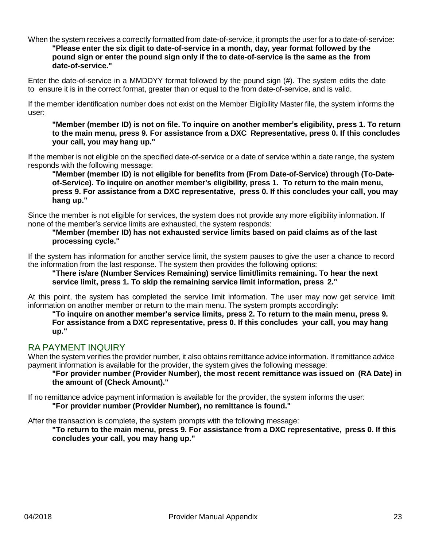#### When the system receives a correctly formatted from date-of-service, it prompts the user for a to date-of-service: **"Please enter the six digit to date-of-service in a month, day, year format followed by the pound sign or enter the pound sign only if the to date-of-service is the same as the from date-of-service."**

Enter the date-of-service in a MMDDYY format followed by the pound sign (#). The system edits the date to ensure it is in the correct format, greater than or equal to the from date-of-service, and is valid.

If the member identification number does not exist on the Member Eligibility Master file, the system informs the user:

**"Member (member ID) is not on file. To inquire on another member's eligibility, press 1. To return to the main menu, press 9. For assistance from a DXC Representative, press 0. If this concludes your call, you may hang up."**

If the member is not eligible on the specified date-of-service or a date of service within a date range, the system responds with the following message:

**"Member (member ID) is not eligible for benefits from (From Date-of-Service) through (To-Dateof-Service). To inquire on another member's eligibility, press 1. To return to the main menu, press 9. For assistance from a DXC representative, press 0. If this concludes your call, you may hang up."**

Since the member is not eligible for services, the system does not provide any more eligibility information. If none of the member's service limits are exhausted, the system responds:

**"Member (member ID) has not exhausted service limits based on paid claims as of the last processing cycle."**

If the system has information for another service limit, the system pauses to give the user a chance to record the information from the last response. The system then provides the following options:

**"There is/are (Number Services Remaining) service limit/limits remaining. To hear the next service limit, press 1. To skip the remaining service limit information, press 2."**

At this point, the system has completed the service limit information. The user may now get service limit information on another member or return to the main menu. The system prompts accordingly:

**"To inquire on another member's service limits, press 2. To return to the main menu, press 9. For assistance from a DXC representative, press 0. If this concludes your call, you may hang up."**

#### <span id="page-22-0"></span>RA PAYMENT INQUIRY

When the system verifies the provider number, it also obtains remittance advice information. If remittance advice payment information is available for the provider, the system gives the following message:

**"For provider number (Provider Number), the most recent remittance was issued on (RA Date) in the amount of (Check Amount)."**

If no remittance advice payment information is available for the provider, the system informs the user: **"For provider number (Provider Number), no remittance is found."**

After the transaction is complete, the system prompts with the following message:

**"To return to the main menu, press 9. For assistance from a DXC representative, press 0. If this concludes your call, you may hang up."**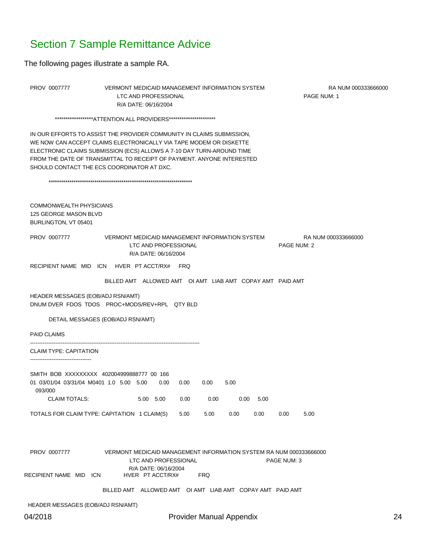### <span id="page-23-0"></span>Section 7 Sample Remittance Advice

The following pages illustrate a sample RA.

PROV 0007777 VERMONT MEDICAID MANAGEMENT INFORMATION SYSTEM RANUM 000333666000 LTC AND PROFESSIONAL **PAGE NUM: 1** R/A DATE: 06/16/2004

\*\*\*\*\*\*\*\*\*\*\*\*\*\*\*\*\*\*ATTENTION ALL PROVIDERS\*\*\*\*\*\*\*\*\*\*\*\*\*\*\*\*\*\*\*\*\*\*\*

IN OUR EFFORTS TO ASSIST THE PROVIDER COMMUNITY IN CLAIMS SUBMISSION, WE NOW CAN ACCEPT CLAIMS ELECTRONICALLY VIA TAPE MODEM OR DISKETTE ELECTRONIC CLAIMS SUBMISSION (ECS) ALLOWS A 7-10 DAY TURN-AROUND TIME FROM THE DATE OF TRANSMITTAL TO RECEIPT OF PAYMENT. ANYONE INTERESTED SHOULD CONTACT THE ECS COORDINATOR AT DXC.

\*\*\*\*\*\*\*\*\*\*\*\*\*\*\*\*\*\*\*\*\*\*\*\*\*\*\*\*\*\*\*\*\*\*\*\*\*\*\*\*\*\*\*\*\*\*\*\*\*\*\*\*\*\*\*\*\*\*\*\*\*\*\*\*\*\*\*\*\*

COMMONWEALTH PHYSICIANS 125 GEORGE MASON BLVD BURLINGTON, VT 05401

PROV 0007777 VERMONT MEDICAID MANAGEMENT INFORMATION SYSTEM RA NUM 000333666000 LTC AND PROFESSIONAL **PAGE NUM: 2** R/A DATE: 06/16/2004

RECIPIENT NAME MID ICN HVER PT ACCT/RX# FRQ

BILLED AMT ALLOWED AMT OI AMT LIAB AMT COPAY AMT PAID AMT

HEADER MESSAGES (EOB/ADJ RSN/AMT) DNUM DVER FDOS TDOS PROC+MODS/REV+RPL QTY BLD

DETAIL MESSAGES (EOB/ADJ RSN/AMT)

PAID CLAIMS

----------------------------------------------------------------------------------------------

CLAIM TYPE: CAPITATION ----------------------------------

SMITH BOB XXXXXXXX 402004999888777 00 166 01 03/01/04 03/31/04 M0401 1.0 5.00 5.00 0.00 0.00 0.00 5.00 093/000 CLAIM TOTALS: 5.00 5.00 0.00 0.00 0.00 5.00 TOTALS FOR CLAIM TYPE: CAPITATION 1 CLAIM(S) 5.00 5.00 0.00 0.00 0.00 5.00

PROV 0007777 VERMONT MEDICAID MANAGEMENT INFORMATION SYSTEM RA NUM 000333666000 LTC AND PROFESSIONAL PAGE NUM: 3 R/A DATE: 06/16/2004 RECIPIENT NAME MID ICN HVER PT ACCT/RX# FRQ

BILLED AMT ALLOWED AMT OI AMT LIAB AMT COPAY AMT PAID AMT

HEADER MESSAGES (EOB/ADJ RSN/AMT)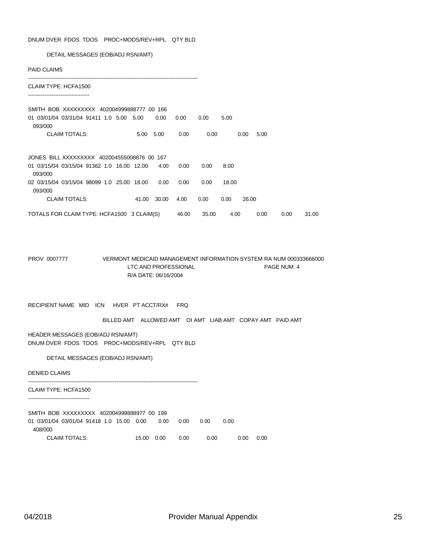DNUM DVER FDOS TDOS PROC+MODS/REV+RPL QTY BLD

DETAIL MESSAGES (EOB/ADJ RSN/AMT)

| <b>PAID CLAIMS</b>                                    |       |       |       |       |               |      |      |       |
|-------------------------------------------------------|-------|-------|-------|-------|---------------|------|------|-------|
| CLAIM TYPE: HCFA1500                                  |       |       |       |       |               |      |      |       |
| SMITH BOB XXXXXXXXX 402004999888777 00 166            |       |       |       |       |               |      |      |       |
| 01 03/01/04 03/31/04 91411 1.0 5.00 5.00<br>093/000   |       | 0.00  | 0.00  | 0.00  | 5.00          |      |      |       |
| <b>CLAIM TOTALS:</b>                                  | 5.00  | 5.00  | 0.00  | 0.00  | 0.00          | 5.00 |      |       |
| JONES BILL XXXXXXXXX 402004555008876 00 167           |       |       |       |       |               |      |      |       |
| 01 03/15/04 03/15/04 91362 1.0 16.00 12.00<br>093/000 |       | 4.00  | 0.00  | 0.00  | 8.00          |      |      |       |
| 02 03/15/04 03/15/04 98099 1.0 25.00 18.00<br>093/000 |       | 0.00  | 0.00  | 0.00  | 18.00         |      |      |       |
| <b>CLAIM TOTALS:</b>                                  | 41.00 | 30.00 | 4.00  | 0.00  | 26.00<br>0.00 |      |      |       |
| TOTALS FOR CLAIM TYPE: HCFA1500 3 CLAIM(S)            |       |       | 46.00 | 35.00 | 4.00          | 0.00 | 0.00 | 31.00 |

PROV 0007777 VERMONT MEDICAID MANAGEMENT INFORMATION SYSTEM RA NUM 000333666000 LTC AND PROFESSIONAL PAGE NUM: 4 R/A DATE: 06/16/2004

RECIPIENT NAME MID ICN HVER PT ACCT/RX# FRQ

BILLED AMT ALLOWED AMT OI AMT LIAB AMT COPAY AMT PAID AMT

HEADER MESSAGES (EOB/ADJ RSN/AMT) DNUM DVER FDOS TDOS PROC+MODS/REV+RPL QTY BLD

DETAIL MESSAGES (EOB/ADJ RSN/AMT)

DENIED CLAIMS

----------------------------------------------------------------------------------------------

CLAIM TYPE: HCFA1500 ----------------------------------

SMITH BOB XXXXXXXXX 402004999888977 00 199 01 03/01/04 03/01/04 91418 1.0 15.00 0.00 0.00 0.00 0.00 0.00 408/000 CLAIM TOTALS: 15.00 0.00 0.00 0.00 0.00 0.00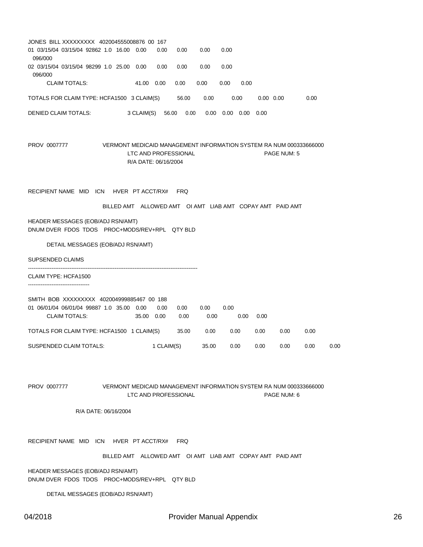| JONES BILL XXXXXXXXX 402004555008876 00 167<br>01 03/15/04 03/15/04 92862 1.0 16.00 0.00 |                                                                    | 0.00<br>0.00                                 | 0.00                 | 0.00                     |      |                   |      |      |    |
|------------------------------------------------------------------------------------------|--------------------------------------------------------------------|----------------------------------------------|----------------------|--------------------------|------|-------------------|------|------|----|
| 096/000                                                                                  |                                                                    |                                              |                      |                          |      |                   |      |      |    |
| 02 03/15/04 03/15/04 98299 1.0 25.00 0.00<br>096/000                                     |                                                                    | 0.00<br>0.00                                 | 0.00                 | 0.00                     |      |                   |      |      |    |
| <b>CLAIM TOTALS:</b>                                                                     | 41.00 0.00                                                         | 0.00                                         | 0.00                 | 0.00<br>0.00             |      |                   |      |      |    |
| TOTALS FOR CLAIM TYPE: HCFA1500 3 CLAIM(S)                                               |                                                                    |                                              | 56.00<br>0.00        | 0.00                     |      | $0.00 \quad 0.00$ | 0.00 |      |    |
| DENIED CLAIM TOTALS:                                                                     | 3 CLAIM(S)                                                         | 56.00                                        | 0.00                 | $0.00$ $0.00$ $0.00$     | 0.00 |                   |      |      |    |
|                                                                                          |                                                                    |                                              |                      |                          |      |                   |      |      |    |
| PROV 0007777                                                                             | VERMONT MEDICAID MANAGEMENT INFORMATION SYSTEM RA NUM 000333666000 |                                              |                      |                          |      |                   |      |      |    |
|                                                                                          |                                                                    | LTC AND PROFESSIONAL<br>R/A DATE: 06/16/2004 |                      |                          |      | PAGE NUM: 5       |      |      |    |
|                                                                                          |                                                                    |                                              |                      |                          |      |                   |      |      |    |
| RECIPIENT NAME MID ICN HVER PT ACCT/RX#                                                  |                                                                    | <b>FRQ</b>                                   |                      |                          |      |                   |      |      |    |
|                                                                                          |                                                                    |                                              |                      |                          |      |                   |      |      |    |
|                                                                                          | BILLED AMT ALLOWED AMT OI AMT LIAB AMT COPAY AMT PAID AMT          |                                              |                      |                          |      |                   |      |      |    |
| HEADER MESSAGES (EOB/ADJ RSN/AMT)<br>DNUM DVER FDOS TDOS PROC+MODS/REV+RPL QTY BLD       |                                                                    |                                              |                      |                          |      |                   |      |      |    |
| DETAIL MESSAGES (EOB/ADJ RSN/AMT)                                                        |                                                                    |                                              |                      |                          |      |                   |      |      |    |
| <b>SUPSENDED CLAIMS</b>                                                                  |                                                                    |                                              |                      |                          |      |                   |      |      |    |
| CLAIM TYPE: HCFA1500                                                                     |                                                                    |                                              |                      |                          |      |                   |      |      |    |
|                                                                                          |                                                                    |                                              |                      |                          |      |                   |      |      |    |
| SMITH BOB XXXXXXXX 402004999885467 00 188                                                |                                                                    |                                              |                      |                          |      |                   |      |      |    |
| 01 06/01/04 06/01/04 99887 1.0 35.00 0.00<br><b>CLAIM TOTALS:</b>                        | 35.00 0.00                                                         | 0.00<br>0.00                                 | 0.00<br>0.00<br>0.00 | 0.00<br>0.00             | 0.00 |                   |      |      |    |
| TOTALS FOR CLAIM TYPE: HCFA1500 1 CLAIM(S)                                               |                                                                    |                                              | 35.00<br>0.00        | 0.00                     | 0.00 | 0.00              | 0.00 |      |    |
| <b>SUSPENDED CLAIM TOTALS:</b>                                                           |                                                                    | 1 CLAIM(S)                                   | 35.00                | 0.00                     | 0.00 | 0.00              | 0.00 | 0.00 |    |
|                                                                                          |                                                                    |                                              |                      |                          |      |                   |      |      |    |
|                                                                                          |                                                                    |                                              |                      |                          |      |                   |      |      |    |
| PROV 0007777                                                                             | VERMONT MEDICAID MANAGEMENT INFORMATION SYSTEM RA NUM 000333666000 |                                              |                      |                          |      |                   |      |      |    |
|                                                                                          |                                                                    | LTC AND PROFESSIONAL                         |                      |                          |      | PAGE NUM: 6       |      |      |    |
| R/A DATE: 06/16/2004                                                                     |                                                                    |                                              |                      |                          |      |                   |      |      |    |
|                                                                                          |                                                                    |                                              |                      |                          |      |                   |      |      |    |
| RECIPIENT NAME MID ICN                                                                   | HVER PT ACCT/RX#                                                   | <b>FRQ</b>                                   |                      |                          |      |                   |      |      |    |
|                                                                                          | BILLED AMT ALLOWED AMT OI AMT LIAB AMT COPAY AMT PAID AMT          |                                              |                      |                          |      |                   |      |      |    |
| HEADER MESSAGES (EOB/ADJ RSN/AMT)                                                        |                                                                    |                                              |                      |                          |      |                   |      |      |    |
| DNUM DVER FDOS TDOS PROC+MODS/REV+RPL QTY BLD                                            |                                                                    |                                              |                      |                          |      |                   |      |      |    |
| DETAIL MESSAGES (EOB/ADJ RSN/AMT)                                                        |                                                                    |                                              |                      |                          |      |                   |      |      |    |
| 04/2018                                                                                  |                                                                    |                                              |                      | Provider Manual Appendix |      |                   |      |      | 26 |
|                                                                                          |                                                                    |                                              |                      |                          |      |                   |      |      |    |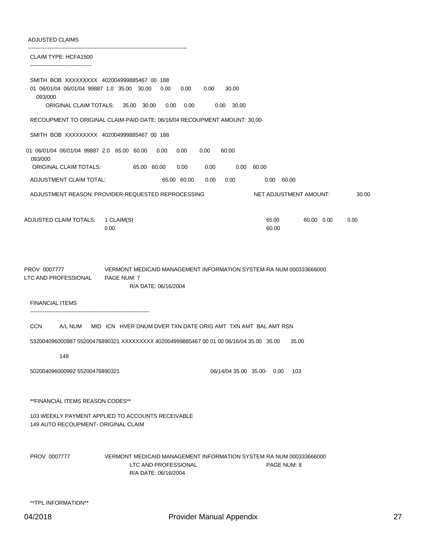#### ADJUSTED CLAIMS

| CLAIM TYPE: HCFA1500                                                                                                         |                                                                                                                    |                                  |                    |
|------------------------------------------------------------------------------------------------------------------------------|--------------------------------------------------------------------------------------------------------------------|----------------------------------|--------------------|
| SMITH BOB XXXXXXXX 402004999885467 00 188<br>01 06/01/04 06/01/04 99887 1.0 35.00 30.00<br>093/000<br>ORIGINAL CLAIM TOTALS: | 0.00<br>0.00<br>0.00<br>35.00 30.00<br>0.00<br>0.00                                                                | 30.00<br>$0.00$ 30.00            |                    |
|                                                                                                                              | RECOUPMENT TO ORIGINAL CLAIM-PAID DATE: 06/16/04 RECOUPMENT AMOUNT: 30.00-                                         |                                  |                    |
| SMITH BOB XXXXXXXX 402004999885467 00 188                                                                                    |                                                                                                                    |                                  |                    |
| 01 06/01/04 06/01/04 99887 2.0 65.00 60.00<br>093/000                                                                        | 0.00<br>0.00<br>0.00                                                                                               | 60.00                            |                    |
| ORIGINAL CLAIM TOTALS:                                                                                                       | 65.00 60.00<br>0.00<br>0.00                                                                                        | 0.00 60.00                       |                    |
| ADJUSTMENT CLAIM TOTAL:                                                                                                      | 65.00 60.00<br>0.00                                                                                                | 0.00<br>$0.00\,$<br>60.00        |                    |
|                                                                                                                              | ADJUSTMENT REASON: PROVIDER-REQUESTED REPROCESSING                                                                 | NET ADJUSTMENT AMOUNT:           | 30.00              |
| ADJUSTED CLAIM TOTALS: 1 CLAIM(S)                                                                                            | 0.00                                                                                                               | 65.00<br>60.00                   | 60.00 0.00<br>0.00 |
| PROV 0007777<br>LTC AND PROFESSIONAL<br><b>FINANCIAL ITEMS</b>                                                               | VERMONT MEDICAID MANAGEMENT INFORMATION SYSTEM RA NUM 000333666000<br>PAGE NUM: 7<br>R/A DATE: 06/16/2004          |                                  |                    |
| <b>CCN</b><br>A/L NUM                                                                                                        | MID ICN HVER DNUM DVER TXN DATE ORIG AMT TXN AMT BAL AMT RSN                                                       |                                  |                    |
|                                                                                                                              | 532004096000987 55200476890321 XXXXXXXXX 402004999885467 00 01 00 06/16/04 35.00 35.00                             | 35.00                            |                    |
| 149                                                                                                                          |                                                                                                                    |                                  |                    |
| 502004096000992 55200476890321                                                                                               |                                                                                                                    | 103<br>06/14/04 35.00 35.00 0.00 |                    |
| **FINANCIAL ITEMS REASON CODES**                                                                                             |                                                                                                                    |                                  |                    |
| 149 AUTO RECOUPMENT- ORIGINAL CLAIM                                                                                          | 103 WEEKLY PAYMENT APPLIED TO ACCOUNTS RECEIVABLE                                                                  |                                  |                    |
| PROV 0007777                                                                                                                 | VERMONT MEDICAID MANAGEMENT INFORMATION SYSTEM RA NUM 000333666000<br>LTC AND PROFESSIONAL<br>R/A DATE: 06/16/2004 | PAGE NUM: 8                      |                    |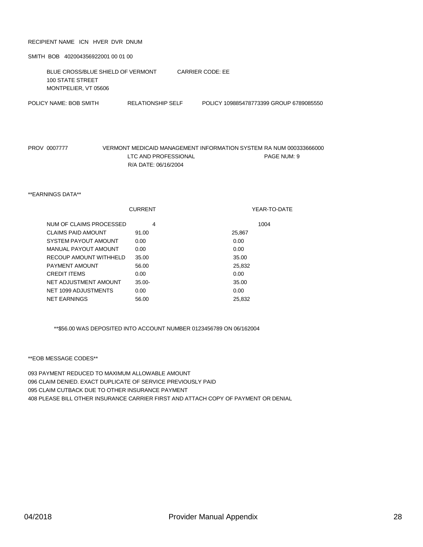#### RECIPIENT NAME ICN HVER DVR DNUM

SMITH BOB 402004356922001 00 01 00

BLUE CROSS/BLUE SHIELD OF VERMONT CARRIER CODE: EE 100 STATE STREET MONTPELIER, VT 05606 POLICY NAME: BOB SMITH RELATIONSHIP SELF POLICY 109885478773399 GROUP 6789085550

PROV 0007777 VERMONT MEDICAID MANAGEMENT INFORMATION SYSTEM RA NUM 000333666000 LTC AND PROFESSIONAL PAGE NUM: 9 R/A DATE: 06/16/2004

\*\*EARNINGS DATA\*\*

|                           | <b>CURRENT</b> | YEAR-TO-DATE |
|---------------------------|----------------|--------------|
| NUM OF CLAIMS PROCESSED   | 4              | 1004         |
| <b>CLAIMS PAID AMOUNT</b> | 91.00          | 25.867       |
| SYSTEM PAYOUT AMOUNT      | 0.00           | 0.00         |
| MANUAL PAYOUT AMOUNT      | 0.00           | 0.00         |
| RECOUP AMOUNT WITHHELD    | 35.00          | 35.00        |
| PAYMENT AMOUNT            | 56.00          | 25.832       |
| <b>CREDIT ITEMS</b>       | 0.00           | 0.00         |
| NET ADJUSTMENT AMOUNT     | $35.00 -$      | 35.00        |
| NET 1099 ADJUSTMENTS      | 0.00           | 0.00         |
| <b>NET EARNINGS</b>       | 56.00          | 25.832       |

\*\*\$56.00 WAS DEPOSITED INTO ACCOUNT NUMBER 0123456789 ON 06/162004

\*\*EOB MESSAGE CODES\*\*

 PAYMENT REDUCED TO MAXIMUM ALLOWABLE AMOUNT CLAIM DENIED. EXACT DUPLICATE OF SERVICE PREVIOUSLY PAID CLAIM CUTBACK DUE TO OTHER INSURANCE PAYMENT PLEASE BILL OTHER INSURANCE CARRIER FIRST AND ATTACH COPY OF PAYMENT OR DENIAL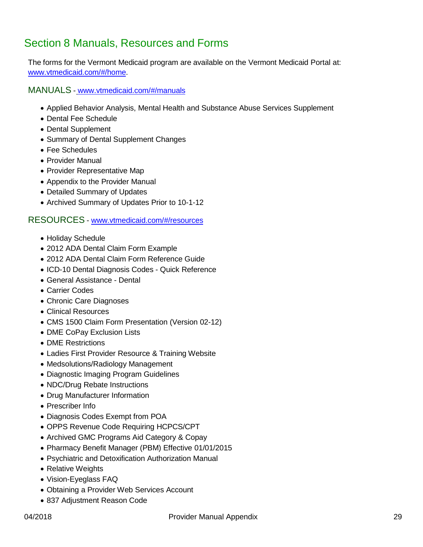# <span id="page-28-0"></span>Section 8 Manuals, Resources and Forms

The forms for the Vermont Medicaid program are available on the Vermont Medicaid Portal at: [www.vtmedicaid.com/](http://www.vtmedicaid.com/)#/home.

MANUALS - [www.vtmedicaid.com/#/manuals](http://www.vtmedicaid.com/%23/manuals)

- Applied Behavior Analysis, Mental Health and Substance Abuse Services Supplement
- Dental Fee Schedule
- Dental Supplement
- Summary of Dental Supplement Changes
- Fee Schedules
- Provider Manual
- Provider Representative Map
- Appendix to the Provider Manual
- Detailed Summary of Updates
- Archived Summary of Updates Prior to 10-1-12

#### RESOURCES - [www.vtmedicaid.com/#/resources](http://www.vtmedicaid.com/%23/resources)

- Holiday Schedule
- 2012 ADA Dental Claim Form Example
- 2012 ADA Dental Claim Form Reference Guide
- ICD-10 Dental Diagnosis Codes Quick Reference
- General Assistance Dental
- Carrier Codes
- Chronic Care Diagnoses
- Clinical Resources
- CMS 1500 Claim Form Presentation (Version 02-12)
- DME CoPay Exclusion Lists
- DME Restrictions
- Ladies First Provider Resource & Training Website
- Medsolutions/Radiology Management
- Diagnostic Imaging Program Guidelines
- NDC/Drug Rebate Instructions
- Drug Manufacturer Information
- Prescriber Info
- Diagnosis Codes Exempt from POA
- OPPS Revenue Code Requiring HCPCS/CPT
- Archived GMC Programs Aid Category & Copay
- Pharmacy Benefit Manager (PBM) Effective 01/01/2015
- Psychiatric and Detoxification Authorization Manual
- Relative Weights
- Vision-Eyeglass FAQ
- Obtaining a Provider Web Services Account
- 837 Adjustment Reason Code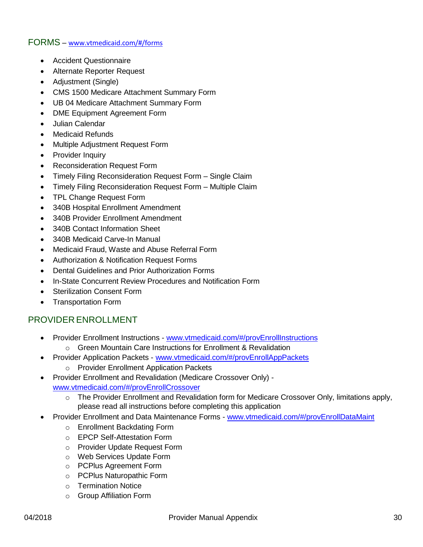#### FORMS – [www.vtmedicaid.com/#/forms](http://www.vtmedicaid.com/%23/forms)

- Accident Questionnaire
- Alternate Reporter Request
- Adjustment (Single)
- CMS 1500 Medicare Attachment Summary Form
- UB 04 Medicare Attachment Summary Form
- DME Equipment Agreement Form
- Julian Calendar
- Medicaid Refunds
- Multiple Adjustment Request Form
- Provider Inquiry
- Reconsideration Request Form
- Timely Filing Reconsideration Request Form Single Claim
- Timely Filing Reconsideration Request Form Multiple Claim
- TPL Change Request Form
- 340B Hospital Enrollment Amendment
- 340B Provider Enrollment Amendment
- 340B Contact Information Sheet
- 340B Medicaid Carve-In Manual
- Medicaid Fraud, Waste and Abuse Referral Form
- Authorization & Notification Request Forms
- Dental Guidelines and Prior Authorization Forms
- In-State Concurrent Review Procedures and Notification Form
- Sterilization Consent Form
- Transportation Form

#### PROVIDER ENROLLMENT

- Provider Enrollment Instructions [www.vtmedicaid.com/#/provEnrollInstructions](http://www.vtmedicaid.com/%23/provEnrollInstructions)
	- o Green Mountain Care Instructions for Enrollment & Revalidation
- Provider Application Packets [www.vtmedicaid.com/#/provEnrollAppPackets](http://www.vtmedicaid.com/%23/provEnrollAppPackets)
	- o Provider Enrollment Application Packets
- Provider Enrollment and Revalidation (Medicare Crossover Only) [www.vtmedicaid.com/#/provEnrollCrossover](http://www.vtmedicaid.com/%23/provEnrollCrossover)
	- o The Provider Enrollment and Revalidation form for Medicare Crossover Only, limitations apply, please read all instructions before completing this application
- Provider Enrollment and Data Maintenance Forms [www.vtmedicaid.com/#/provEnrollDataMaint](http://www.vtmedicaid.com/%23/provEnrollDataMaint)
	- o Enrollment Backdating Form
	- o EPCP Self-Attestation Form
	- o Provider Update Request Form
	- o Web Services Update Form
	- o PCPlus Agreement Form
	- o PCPlus Naturopathic Form
	- o Termination Notice
	- o Group Affiliation Form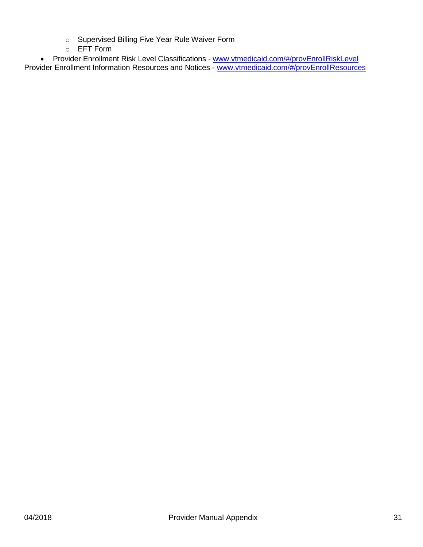- o Supervised Billing Five Year Rule Waiver Form
- o EFT Form

• Provider Enrollment Risk Level Classifications - [www.vtmedicaid.com/#/provEnrollRiskLevel](http://www.vtmedicaid.com/%23/provEnrollRiskLevel) Provider Enrollment Information Resources and Notices - [www.vtmedicaid.com/#/provEnrollResources](http://www.vtmedicaid.com/%23/provEnrollResources)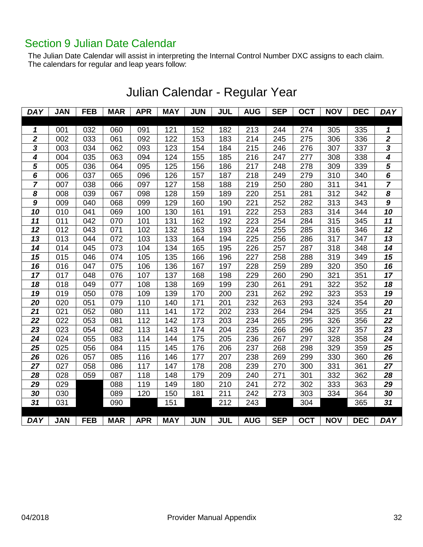### <span id="page-31-0"></span>Section 9 Julian Date Calendar

The Julian Date Calendar will assist in interpreting the Internal Control Number DXC assigns to each claim. The calendars for regular and leap years follow:

| <b>DAY</b>      | <b>JAN</b> | <b>FEB</b> | <b>MAR</b> | <b>APR</b> | <b>MAY</b> | <b>JUN</b> | <b>JUL</b> | <b>AUG</b> | <b>SEP</b> | <b>OCT</b> | <b>NOV</b> | <b>DEC</b> | <b>DAY</b>              |
|-----------------|------------|------------|------------|------------|------------|------------|------------|------------|------------|------------|------------|------------|-------------------------|
|                 |            |            |            |            |            |            |            |            |            |            |            |            |                         |
| 1               | 001        | 032        | 060        | 091        | 121        | 152        | 182        | 213        | 244        | 274        | 305        | 335        | 1                       |
| $\mathbf{2}$    | 002        | 033        | 061        | 092        | 122        | 153        | 183        | 214        | 245        | 275        | 306        | 336        | $\boldsymbol{2}$        |
| $\mathbf{3}$    | 003        | 034        | 062        | 093        | 123        | 154        | 184        | 215        | 246        | 276        | 307        | 337        | 3                       |
| 4               | 004        | 035        | 063        | 094        | 124        | 155        | 185        | 216        | 247        | 277        | 308        | 338        | 4                       |
| 5               | 005        | 036        | 064        | 095        | 125        | 156        | 186        | 217        | 248        | 278        | 309        | 339        | $\overline{\mathbf{5}}$ |
| 6               | 006        | 037        | 065        | 096        | 126        | 157        | 187        | 218        | 249        | 279        | 310        | 340        | 6                       |
| $\overline{7}$  | 007        | 038        | 066        | 097        | 127        | 158        | 188        | 219        | 250        | 280        | 311        | 341        | $\overline{7}$          |
| 8               | 008        | 039        | 067        | 098        | 128        | 159        | 189        | 220        | 251        | 281        | 312        | 342        | 8                       |
| $\overline{g}$  | 009        | 040        | 068        | 099        | 129        | 160        | 190        | 221        | 252        | 282        | 313        | 343        | 9                       |
| 10              | 010        | 041        | 069        | 100        | 130        | 161        | 191        | 222        | 253        | 283        | 314        | 344        | 10                      |
| 11              | 011        | 042        | 070        | 101        | 131        | 162        | 192        | 223        | 254        | 284        | 315        | 345        | 11                      |
| 12              | 012        | 043        | 071        | 102        | 132        | 163        | 193        | 224        | 255        | 285        | 316        | 346        | 12                      |
| 13              | 013        | 044        | 072        | 103        | 133        | 164        | 194        | 225        | 256        | 286        | 317        | 347        | 13                      |
| 14              | 014        | 045        | 073        | 104        | 134        | 165        | 195        | 226        | 257        | 287        | 318        | 348        | 14                      |
| 15              | 015        | 046        | 074        | 105        | 135        | 166        | 196        | 227        | 258        | 288        | 319        | 349        | 15                      |
| 16              | 016        | 047        | 075        | 106        | 136        | 167        | 197        | 228        | 259        | 289        | 320        | 350        | 16                      |
| $\overline{17}$ | 017        | 048        | 076        | 107        | 137        | 168        | 198        | 229        | 260        | 290        | 321        | 351        | 17                      |
| 18              | 018        | 049        | 077        | 108        | 138        | 169        | 199        | 230        | 261        | 291        | 322        | 352        | 18                      |
| $\overline{19}$ | 019        | 050        | 078        | 109        | 139        | 170        | 200        | 231        | 262        | 292        | 323        | 353        | 19                      |
| 20              | 020        | 051        | 079        | 110        | 140        | 171        | 201        | 232        | 263        | 293        | 324        | 354        | 20                      |
| 21              | 021        | 052        | 080        | 111        | 141        | 172        | 202        | 233        | 264        | 294        | 325        | 355        | 21                      |
| 22              | 022        | 053        | 081        | 112        | 142        | 173        | 203        | 234        | 265        | 295        | 326        | 356        | 22                      |
| 23              | 023        | 054        | 082        | 113        | 143        | 174        | 204        | 235        | 266        | 296        | 327        | 357        | 23                      |
| 24              | 024        | 055        | 083        | 114        | 144        | 175        | 205        | 236        | 267        | 297        | 328        | 358        | 24                      |
| 25              | 025        | 056        | 084        | 115        | 145        | 176        | 206        | 237        | 268        | 298        | 329        | 359        | 25                      |
| 26              | 026        | 057        | 085        | 116        | 146        | 177        | 207        | 238        | 269        | 299        | 330        | 360        | 26                      |
| 27              | 027        | 058        | 086        | 117        | 147        | 178        | 208        | 239        | 270        | 300        | 331        | 361        | 27                      |
| 28              | 028        | 059        | 087        | 118        | 148        | 179        | 209        | 240        | 271        | 301        | 332        | 362        | 28                      |
| 29              | 029        |            | 088        | 119        | 149        | 180        | 210        | 241        | 272        | 302        | 333        | 363        | 29                      |
| 30              | 030        |            | 089        | 120        | 150        | 181        | 211        | 242        | 273        | 303        | 334        | 364        | 30                      |
| $\overline{31}$ | 031        |            | 090        |            | 151        |            | 212        | 243        |            | 304        |            | 365        | 31                      |
| <b>DAY</b>      | <b>JAN</b> | <b>FEB</b> | <b>MAR</b> | <b>APR</b> | <b>MAY</b> | <b>JUN</b> | <b>JUL</b> | <b>AUG</b> | <b>SEP</b> | <b>OCT</b> | <b>NOV</b> | <b>DEC</b> | <b>DAY</b>              |

# Julian Calendar - Regular Year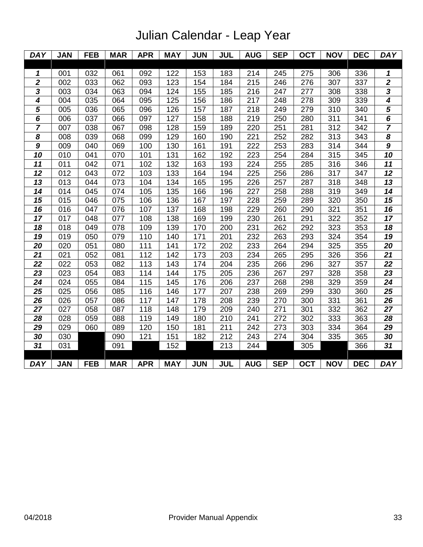# Julian Calendar - Leap Year

| <b>DAY</b>                  | <b>JAN</b> | <b>FEB</b>       | <b>MAR</b> | <b>APR</b> | <b>MAY</b> | <b>JUN</b> | <b>JUL</b> | <b>AUG</b> | <b>SEP</b> | <b>OCT</b> | <b>NOV</b> | <b>DEC</b> | <b>DAY</b>                  |
|-----------------------------|------------|------------------|------------|------------|------------|------------|------------|------------|------------|------------|------------|------------|-----------------------------|
|                             |            |                  |            |            |            |            |            |            |            |            |            |            |                             |
| 1                           | 001        | 032              | 061        | 092        | 122        | 153        | 183        | 214        | 245        | 275        | 306        | 336        | 1                           |
| $\overline{2}$              | 002        | 033              | 062        | 093        | 123        | 154        | 184        | 215        | 246        | 276        | 307        | 337        | $\overline{\mathbf{2}}$     |
| $\overline{\mathbf{3}}$     | 003        | 034              | 063        | 094        | 124        | 155        | 185        | 216        | 247        | 277        | 308        | 338        | $\frac{3}{4}$               |
| $\overline{\bf{4}}$         | 004        | $\overline{035}$ | 064        | 095        | 125        | 156        | 186        | 217        | 248        | 278        | 309        | 339        |                             |
| 5                           | 005        | 036              | 065        | 096        | 126        | 157        | 187        | 218        | 249        | 279        | 310        | 340        | $\overline{\mathbf{5}}$     |
| $\overline{\boldsymbol{6}}$ | 006        | 037              | 066        | 097        | 127        | 158        | 188        | 219        | 250        | 280        | 311        | 341        | $\overline{\boldsymbol{6}}$ |
| 7                           | 007        | 038              | 067        | 098        | 128        | 159        | 189        | 220        | 251        | 281        | 312        | 342        | 7                           |
| $\overline{\boldsymbol{8}}$ | 008        | 039              | 068        | 099        | 129        | 160        | 190        | 221        | 252        | 282        | 313        | 343        | $\overline{\boldsymbol{8}}$ |
| $\boldsymbol{9}$            | 009        | 040              | 069        | 100        | 130        | 161        | 191        | 222        | 253        | 283        | 314        | 344        | 9                           |
| 10                          | 010        | 041              | 070        | 101        | 131        | 162        | 192        | 223        | 254        | 284        | 315        | 345        | 10                          |
| 11                          | 011        | 042              | 071        | 102        | 132        | 163        | 193        | 224        | 255        | 285        | 316        | 346        | 11                          |
| 12                          | 012        | 043              | 072        | 103        | 133        | 164        | 194        | 225        | 256        | 286        | 317        | 347        | $\overline{12}$             |
| 13                          | 013        | 044              | 073        | 104        | 134        | 165        | 195        | 226        | 257        | 287        | 318        | 348        | 13                          |
| $\overline{14}$             | 014        | 045              | 074        | 105        | 135        | 166        | 196        | 227        | 258        | 288        | 319        | 349        | $\overline{14}$             |
| 15                          | 015        | 046              | 075        | 106        | 136        | 167        | 197        | 228        | 259        | 289        | 320        | 350        | 15                          |
| $\overline{16}$             | 016        | 047              | 076        | 107        | 137        | 168        | 198        | 229        | 260        | 290        | 321        | 351        | 16                          |
| 17                          | 017        | 048              | 077        | 108        | 138        | 169        | 199        | 230        | 261        | 291        | 322        | 352        | 17                          |
| $\overline{18}$             | 018        | 049              | 078        | 109        | 139        | 170        | 200        | 231        | 262        | 292        | 323        | 353        | $\overline{18}$             |
| 19                          | 019        | 050              | 079        | 110        | 140        | 171        | 201        | 232        | 263        | 293        | 324        | 354        | 19                          |
| $\overline{20}$             | 020        | 051              | 080        | 111        | 141        | 172        | 202        | 233        | 264        | 294        | 325        | 355        | $\overline{20}$             |
| 21                          | 021        | 052              | 081        | 112        | 142        | 173        | 203        | 234        | 265        | 295        | 326        | 356        | 21                          |
| 22                          | 022        | 053              | 082        | 113        | 143        | 174        | 204        | 235        | 266        | 296        | 327        | 357        | 22                          |
| 23                          | 023        | 054              | 083        | 114        | 144        | 175        | 205        | 236        | 267        | 297        | 328        | 358        | 23                          |
| 24                          | 024        | 055              | 084        | 115        | 145        | 176        | 206        | 237        | 268        | 298        | 329        | 359        | 24                          |
| 25                          | 025        | 056              | 085        | 116        | 146        | 177        | 207        | 238        | 269        | 299        | 330        | 360        | 25                          |
| 26                          | 026        | 057              | 086        | 117        | 147        | 178        | 208        | 239        | 270        | 300        | 331        | 361        | 26                          |
| 27                          | 027        | 058              | 087        | 118        | 148        | 179        | 209        | 240        | 271        | 301        | 332        | 362        | 27                          |
| 28                          | 028        | 059              | 088        | 119        | 149        | 180        | 210        | 241        | 272        | 302        | 333        | 363        | 28                          |
| 29                          | 029        | 060              | 089        | 120        | 150        | 181        | 211        | 242        | 273        | 303        | 334        | 364        | 29                          |
| 30                          | 030        |                  | 090        | 121        | 151        | 182        | 212        | 243        | 274        | 304        | 335        | 365        | 30                          |
| 31                          | 031        |                  | 091        |            | 152        |            | 213        | 244        |            | 305        |            | 366        | 31                          |
|                             |            |                  |            |            |            |            |            |            |            |            |            |            |                             |
| <b>DAY</b>                  | <b>JAN</b> | <b>FEB</b>       | <b>MAR</b> | <b>APR</b> | <b>MAY</b> | <b>JUN</b> | <b>JUL</b> | <b>AUG</b> | <b>SEP</b> | <b>OCT</b> | <b>NOV</b> | <b>DEC</b> | <b>DAY</b>                  |